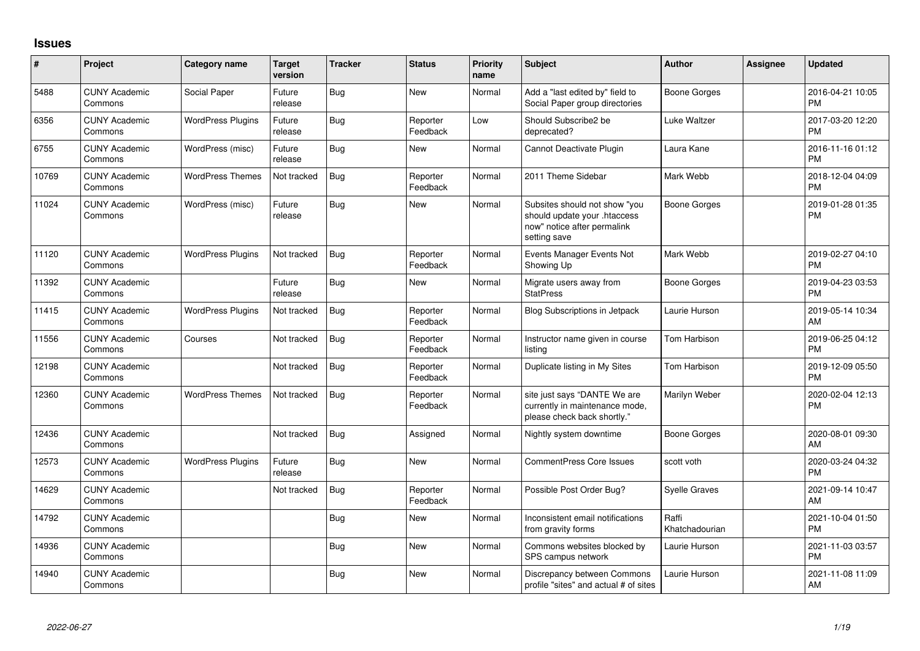## **Issues**

| #     | Project                         | <b>Category name</b>     | <b>Target</b><br>version | <b>Tracker</b> | <b>Status</b>        | Priority<br>name | <b>Subject</b>                                                                                               | <b>Author</b>           | Assignee | <b>Updated</b>                |
|-------|---------------------------------|--------------------------|--------------------------|----------------|----------------------|------------------|--------------------------------------------------------------------------------------------------------------|-------------------------|----------|-------------------------------|
| 5488  | <b>CUNY Academic</b><br>Commons | Social Paper             | Future<br>release        | <b>Bug</b>     | <b>New</b>           | Normal           | Add a "last edited by" field to<br>Social Paper group directories                                            | <b>Boone Gorges</b>     |          | 2016-04-21 10:05<br><b>PM</b> |
| 6356  | <b>CUNY Academic</b><br>Commons | <b>WordPress Plugins</b> | Future<br>release        | <b>Bug</b>     | Reporter<br>Feedback | Low              | Should Subscribe2 be<br>deprecated?                                                                          | <b>Luke Waltzer</b>     |          | 2017-03-20 12:20<br><b>PM</b> |
| 6755  | <b>CUNY Academic</b><br>Commons | WordPress (misc)         | Future<br>release        | <b>Bug</b>     | <b>New</b>           | Normal           | Cannot Deactivate Plugin                                                                                     | Laura Kane              |          | 2016-11-16 01:12<br><b>PM</b> |
| 10769 | <b>CUNY Academic</b><br>Commons | <b>WordPress Themes</b>  | Not tracked              | <b>Bug</b>     | Reporter<br>Feedback | Normal           | 2011 Theme Sidebar                                                                                           | Mark Webb               |          | 2018-12-04 04:09<br><b>PM</b> |
| 11024 | <b>CUNY Academic</b><br>Commons | WordPress (misc)         | Future<br>release        | <b>Bug</b>     | <b>New</b>           | Normal           | Subsites should not show "you<br>should update your .htaccess<br>now" notice after permalink<br>setting save | <b>Boone Gorges</b>     |          | 2019-01-28 01:35<br><b>PM</b> |
| 11120 | <b>CUNY Academic</b><br>Commons | <b>WordPress Plugins</b> | Not tracked              | Bug            | Reporter<br>Feedback | Normal           | Events Manager Events Not<br>Showing Up                                                                      | Mark Webb               |          | 2019-02-27 04:10<br><b>PM</b> |
| 11392 | <b>CUNY Academic</b><br>Commons |                          | Future<br>release        | <b>Bug</b>     | New                  | Normal           | Migrate users away from<br><b>StatPress</b>                                                                  | <b>Boone Gorges</b>     |          | 2019-04-23 03:53<br><b>PM</b> |
| 11415 | <b>CUNY Academic</b><br>Commons | <b>WordPress Plugins</b> | Not tracked              | <b>Bug</b>     | Reporter<br>Feedback | Normal           | <b>Blog Subscriptions in Jetpack</b>                                                                         | Laurie Hurson           |          | 2019-05-14 10:34<br>AM        |
| 11556 | <b>CUNY Academic</b><br>Commons | Courses                  | Not tracked              | <b>Bug</b>     | Reporter<br>Feedback | Normal           | Instructor name given in course<br>listing                                                                   | Tom Harbison            |          | 2019-06-25 04:12<br><b>PM</b> |
| 12198 | <b>CUNY Academic</b><br>Commons |                          | Not tracked              | <b>Bug</b>     | Reporter<br>Feedback | Normal           | Duplicate listing in My Sites                                                                                | Tom Harbison            |          | 2019-12-09 05:50<br><b>PM</b> |
| 12360 | <b>CUNY Academic</b><br>Commons | <b>WordPress Themes</b>  | Not tracked              | <b>Bug</b>     | Reporter<br>Feedback | Normal           | site just says "DANTE We are<br>currently in maintenance mode,<br>please check back shortly."                | Marilyn Weber           |          | 2020-02-04 12:13<br><b>PM</b> |
| 12436 | <b>CUNY Academic</b><br>Commons |                          | Not tracked              | Bug            | Assigned             | Normal           | Nightly system downtime                                                                                      | <b>Boone Gorges</b>     |          | 2020-08-01 09:30<br>AM        |
| 12573 | <b>CUNY Academic</b><br>Commons | <b>WordPress Plugins</b> | Future<br>release        | <b>Bug</b>     | <b>New</b>           | Normal           | <b>CommentPress Core Issues</b>                                                                              | scott voth              |          | 2020-03-24 04:32<br><b>PM</b> |
| 14629 | <b>CUNY Academic</b><br>Commons |                          | Not tracked              | Bug            | Reporter<br>Feedback | Normal           | Possible Post Order Bug?                                                                                     | <b>Syelle Graves</b>    |          | 2021-09-14 10:47<br>AM        |
| 14792 | <b>CUNY Academic</b><br>Commons |                          |                          | <b>Bug</b>     | <b>New</b>           | Normal           | Inconsistent email notifications<br>from gravity forms                                                       | Raffi<br>Khatchadourian |          | 2021-10-04 01:50<br><b>PM</b> |
| 14936 | <b>CUNY Academic</b><br>Commons |                          |                          | Bug            | <b>New</b>           | Normal           | Commons websites blocked by<br>SPS campus network                                                            | Laurie Hurson           |          | 2021-11-03 03:57<br><b>PM</b> |
| 14940 | <b>CUNY Academic</b><br>Commons |                          |                          | Bug            | <b>New</b>           | Normal           | Discrepancy between Commons<br>profile "sites" and actual # of sites                                         | Laurie Hurson           |          | 2021-11-08 11:09<br>AM        |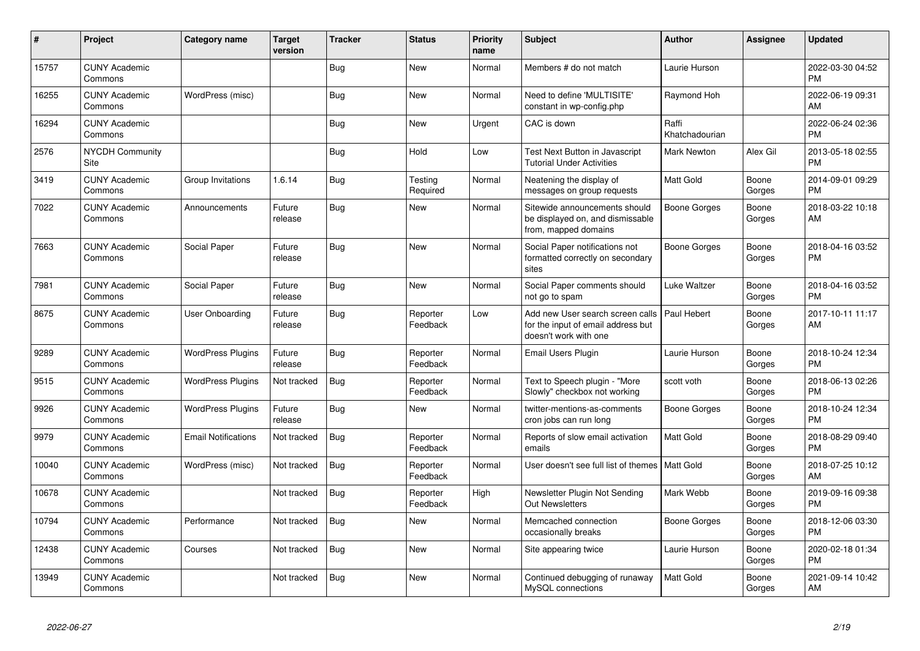| $\pmb{\sharp}$ | Project                         | <b>Category name</b>       | <b>Target</b><br>version | <b>Tracker</b> | <b>Status</b>        | <b>Priority</b><br>name | <b>Subject</b>                                                                                  | <b>Author</b>           | <b>Assignee</b> | <b>Updated</b>                |
|----------------|---------------------------------|----------------------------|--------------------------|----------------|----------------------|-------------------------|-------------------------------------------------------------------------------------------------|-------------------------|-----------------|-------------------------------|
| 15757          | <b>CUNY Academic</b><br>Commons |                            |                          | Bug            | New                  | Normal                  | Members # do not match                                                                          | Laurie Hurson           |                 | 2022-03-30 04:52<br><b>PM</b> |
| 16255          | <b>CUNY Academic</b><br>Commons | WordPress (misc)           |                          | Bug            | <b>New</b>           | Normal                  | Need to define 'MULTISITE'<br>constant in wp-config.php                                         | Raymond Hoh             |                 | 2022-06-19 09:31<br>AM        |
| 16294          | <b>CUNY Academic</b><br>Commons |                            |                          | <b>Bug</b>     | New                  | Urgent                  | CAC is down                                                                                     | Raffi<br>Khatchadourian |                 | 2022-06-24 02:36<br><b>PM</b> |
| 2576           | <b>NYCDH Community</b><br>Site  |                            |                          | Bug            | Hold                 | Low                     | Test Next Button in Javascript<br><b>Tutorial Under Activities</b>                              | <b>Mark Newton</b>      | Alex Gil        | 2013-05-18 02:55<br><b>PM</b> |
| 3419           | <b>CUNY Academic</b><br>Commons | Group Invitations          | 1.6.14                   | Bug            | Testing<br>Required  | Normal                  | Neatening the display of<br>messages on group requests                                          | Matt Gold               | Boone<br>Gorges | 2014-09-01 09:29<br><b>PM</b> |
| 7022           | <b>CUNY Academic</b><br>Commons | Announcements              | Future<br>release        | <b>Bug</b>     | <b>New</b>           | Normal                  | Sitewide announcements should<br>be displayed on, and dismissable<br>from, mapped domains       | Boone Gorges            | Boone<br>Gorges | 2018-03-22 10:18<br>AM        |
| 7663           | <b>CUNY Academic</b><br>Commons | Social Paper               | Future<br>release        | <b>Bug</b>     | <b>New</b>           | Normal                  | Social Paper notifications not<br>formatted correctly on secondary<br>sites                     | <b>Boone Gorges</b>     | Boone<br>Gorges | 2018-04-16 03:52<br><b>PM</b> |
| 7981           | <b>CUNY Academic</b><br>Commons | Social Paper               | Future<br>release        | Bug            | New                  | Normal                  | Social Paper comments should<br>not go to spam                                                  | Luke Waltzer            | Boone<br>Gorges | 2018-04-16 03:52<br><b>PM</b> |
| 8675           | <b>CUNY Academic</b><br>Commons | <b>User Onboarding</b>     | Future<br>release        | Bug            | Reporter<br>Feedback | Low                     | Add new User search screen calls<br>for the input of email address but<br>doesn't work with one | Paul Hebert             | Boone<br>Gorges | 2017-10-11 11:17<br>AM        |
| 9289           | <b>CUNY Academic</b><br>Commons | <b>WordPress Plugins</b>   | Future<br>release        | Bug            | Reporter<br>Feedback | Normal                  | <b>Email Users Plugin</b>                                                                       | Laurie Hurson           | Boone<br>Gorges | 2018-10-24 12:34<br><b>PM</b> |
| 9515           | <b>CUNY Academic</b><br>Commons | <b>WordPress Plugins</b>   | Not tracked              | <b>Bug</b>     | Reporter<br>Feedback | Normal                  | Text to Speech plugin - "More<br>Slowly" checkbox not working                                   | scott voth              | Boone<br>Gorges | 2018-06-13 02:26<br><b>PM</b> |
| 9926           | <b>CUNY Academic</b><br>Commons | <b>WordPress Plugins</b>   | Future<br>release        | Bug            | <b>New</b>           | Normal                  | twitter-mentions-as-comments<br>cron jobs can run long                                          | Boone Gorges            | Boone<br>Gorges | 2018-10-24 12:34<br><b>PM</b> |
| 9979           | <b>CUNY Academic</b><br>Commons | <b>Email Notifications</b> | Not tracked              | Bug            | Reporter<br>Feedback | Normal                  | Reports of slow email activation<br>emails                                                      | <b>Matt Gold</b>        | Boone<br>Gorges | 2018-08-29 09:40<br><b>PM</b> |
| 10040          | <b>CUNY Academic</b><br>Commons | WordPress (misc)           | Not tracked              | Bug            | Reporter<br>Feedback | Normal                  | User doesn't see full list of themes   Matt Gold                                                |                         | Boone<br>Gorges | 2018-07-25 10:12<br>AM        |
| 10678          | <b>CUNY Academic</b><br>Commons |                            | Not tracked              | Bug            | Reporter<br>Feedback | High                    | Newsletter Plugin Not Sending<br><b>Out Newsletters</b>                                         | Mark Webb               | Boone<br>Gorges | 2019-09-16 09:38<br><b>PM</b> |
| 10794          | <b>CUNY Academic</b><br>Commons | Performance                | Not tracked              | <b>Bug</b>     | <b>New</b>           | Normal                  | Memcached connection<br>occasionally breaks                                                     | Boone Gorges            | Boone<br>Gorges | 2018-12-06 03:30<br><b>PM</b> |
| 12438          | <b>CUNY Academic</b><br>Commons | Courses                    | Not tracked              | Bug            | <b>New</b>           | Normal                  | Site appearing twice                                                                            | Laurie Hurson           | Boone<br>Gorges | 2020-02-18 01:34<br><b>PM</b> |
| 13949          | <b>CUNY Academic</b><br>Commons |                            | Not tracked              | Bug            | <b>New</b>           | Normal                  | Continued debugging of runaway<br>MySQL connections                                             | Matt Gold               | Boone<br>Gorges | 2021-09-14 10:42<br>AM        |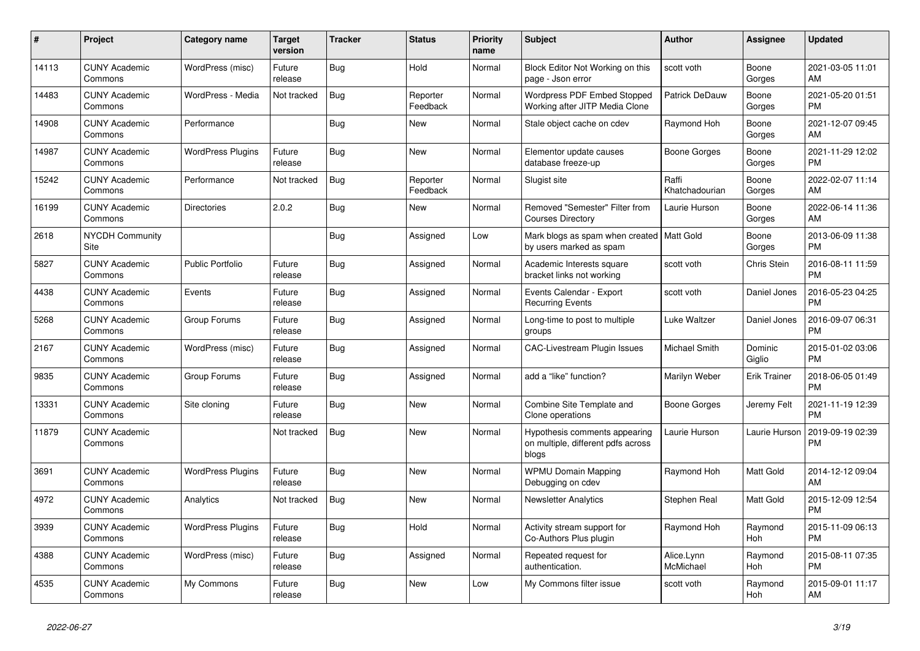| $\pmb{\#}$ | <b>Project</b>                  | Category name            | <b>Target</b><br>version | <b>Tracker</b> | <b>Status</b>        | <b>Priority</b><br>name | <b>Subject</b>                                                               | <b>Author</b>           | <b>Assignee</b>       | <b>Updated</b>                |
|------------|---------------------------------|--------------------------|--------------------------|----------------|----------------------|-------------------------|------------------------------------------------------------------------------|-------------------------|-----------------------|-------------------------------|
| 14113      | <b>CUNY Academic</b><br>Commons | WordPress (misc)         | Future<br>release        | <b>Bug</b>     | Hold                 | Normal                  | Block Editor Not Working on this<br>page - Json error                        | scott voth              | Boone<br>Gorges       | 2021-03-05 11:01<br>AM        |
| 14483      | <b>CUNY Academic</b><br>Commons | WordPress - Media        | Not tracked              | <b>Bug</b>     | Reporter<br>Feedback | Normal                  | Wordpress PDF Embed Stopped<br>Working after JITP Media Clone                | Patrick DeDauw          | Boone<br>Gorges       | 2021-05-20 01:51<br><b>PM</b> |
| 14908      | <b>CUNY Academic</b><br>Commons | Performance              |                          | Bug            | New                  | Normal                  | Stale object cache on cdev                                                   | Raymond Hoh             | Boone<br>Gorges       | 2021-12-07 09:45<br>AM        |
| 14987      | <b>CUNY Academic</b><br>Commons | <b>WordPress Plugins</b> | Future<br>release        | <b>Bug</b>     | <b>New</b>           | Normal                  | Elementor update causes<br>database freeze-up                                | Boone Gorges            | Boone<br>Gorges       | 2021-11-29 12:02<br><b>PM</b> |
| 15242      | <b>CUNY Academic</b><br>Commons | Performance              | Not tracked              | <b>Bug</b>     | Reporter<br>Feedback | Normal                  | Slugist site                                                                 | Raffi<br>Khatchadourian | Boone<br>Gorges       | 2022-02-07 11:14<br>AM        |
| 16199      | <b>CUNY Academic</b><br>Commons | <b>Directories</b>       | 2.0.2                    | Bug            | New                  | Normal                  | Removed "Semester" Filter from<br><b>Courses Directory</b>                   | Laurie Hurson           | Boone<br>Gorges       | 2022-06-14 11:36<br>AM        |
| 2618       | <b>NYCDH Community</b><br>Site  |                          |                          | <b>Bug</b>     | Assigned             | Low                     | Mark blogs as spam when created   Matt Gold<br>by users marked as spam       |                         | Boone<br>Gorges       | 2013-06-09 11:38<br><b>PM</b> |
| 5827       | <b>CUNY Academic</b><br>Commons | <b>Public Portfolio</b>  | Future<br>release        | Bug            | Assigned             | Normal                  | Academic Interests square<br>bracket links not working                       | scott voth              | Chris Stein           | 2016-08-11 11:59<br><b>PM</b> |
| 4438       | <b>CUNY Academic</b><br>Commons | Events                   | Future<br>release        | Bug            | Assigned             | Normal                  | Events Calendar - Export<br><b>Recurring Events</b>                          | scott voth              | Daniel Jones          | 2016-05-23 04:25<br><b>PM</b> |
| 5268       | <b>CUNY Academic</b><br>Commons | Group Forums             | Future<br>release        | <b>Bug</b>     | Assigned             | Normal                  | Long-time to post to multiple<br>groups                                      | Luke Waltzer            | Daniel Jones          | 2016-09-07 06:31<br><b>PM</b> |
| 2167       | <b>CUNY Academic</b><br>Commons | WordPress (misc)         | Future<br>release        | Bug            | Assigned             | Normal                  | <b>CAC-Livestream Plugin Issues</b>                                          | <b>Michael Smith</b>    | Dominic<br>Giglio     | 2015-01-02 03:06<br><b>PM</b> |
| 9835       | <b>CUNY Academic</b><br>Commons | Group Forums             | Future<br>release        | Bug            | Assigned             | Normal                  | add a "like" function?                                                       | Marilyn Weber           | <b>Erik Trainer</b>   | 2018-06-05 01:49<br><b>PM</b> |
| 13331      | <b>CUNY Academic</b><br>Commons | Site cloning             | Future<br>release        | <b>Bug</b>     | <b>New</b>           | Normal                  | Combine Site Template and<br>Clone operations                                | <b>Boone Gorges</b>     | Jeremy Felt           | 2021-11-19 12:39<br><b>PM</b> |
| 11879      | <b>CUNY Academic</b><br>Commons |                          | Not tracked              | Bug            | <b>New</b>           | Normal                  | Hypothesis comments appearing<br>on multiple, different pdfs across<br>blogs | Laurie Hurson           | Laurie Hurson         | 2019-09-19 02:39<br><b>PM</b> |
| 3691       | <b>CUNY Academic</b><br>Commons | <b>WordPress Plugins</b> | Future<br>release        | Bug            | <b>New</b>           | Normal                  | <b>WPMU Domain Mapping</b><br>Debugging on cdev                              | Raymond Hoh             | Matt Gold             | 2014-12-12 09:04<br>AM        |
| 4972       | <b>CUNY Academic</b><br>Commons | Analytics                | Not tracked              | <b>Bug</b>     | <b>New</b>           | Normal                  | <b>Newsletter Analytics</b>                                                  | Stephen Real            | Matt Gold             | 2015-12-09 12:54<br><b>PM</b> |
| 3939       | <b>CUNY Academic</b><br>Commons | <b>WordPress Plugins</b> | Future<br>release        | <b>Bug</b>     | Hold                 | Normal                  | Activity stream support for<br>Co-Authors Plus plugin                        | Raymond Hoh             | Raymond<br>Hoh        | 2015-11-09 06:13<br><b>PM</b> |
| 4388       | <b>CUNY Academic</b><br>Commons | WordPress (misc)         | Future<br>release        | Bug            | Assigned             | Normal                  | Repeated request for<br>authentication.                                      | Alice.Lynn<br>McMichael | Raymond<br><b>Hoh</b> | 2015-08-11 07:35<br><b>PM</b> |
| 4535       | <b>CUNY Academic</b><br>Commons | My Commons               | Future<br>release        | <b>Bug</b>     | <b>New</b>           | Low                     | My Commons filter issue                                                      | scott voth              | Raymond<br>Hoh        | 2015-09-01 11:17<br>AM        |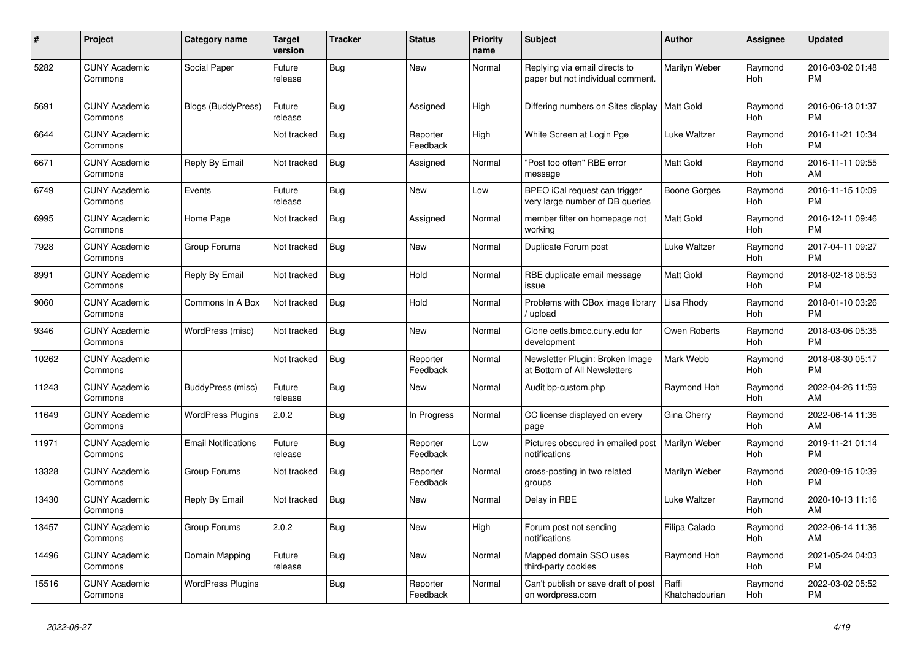| #     | <b>Project</b>                  | <b>Category name</b>       | Target<br>version | Tracker    | <b>Status</b>        | <b>Priority</b><br>name | <b>Subject</b>                                                     | <b>Author</b>           | Assignee              | <b>Updated</b>                |
|-------|---------------------------------|----------------------------|-------------------|------------|----------------------|-------------------------|--------------------------------------------------------------------|-------------------------|-----------------------|-------------------------------|
| 5282  | <b>CUNY Academic</b><br>Commons | Social Paper               | Future<br>release | Bug        | <b>New</b>           | Normal                  | Replying via email directs to<br>paper but not individual comment. | Marilyn Weber           | Raymond<br><b>Hoh</b> | 2016-03-02 01:48<br><b>PM</b> |
| 5691  | <b>CUNY Academic</b><br>Commons | <b>Blogs (BuddyPress)</b>  | Future<br>release | <b>Bug</b> | Assigned             | High                    | Differing numbers on Sites display                                 | <b>Matt Gold</b>        | Raymond<br><b>Hoh</b> | 2016-06-13 01:37<br><b>PM</b> |
| 6644  | <b>CUNY Academic</b><br>Commons |                            | Not tracked       | Bug        | Reporter<br>Feedback | High                    | White Screen at Login Pge                                          | Luke Waltzer            | Raymond<br>Hoh        | 2016-11-21 10:34<br><b>PM</b> |
| 6671  | <b>CUNY Academic</b><br>Commons | Reply By Email             | Not tracked       | <b>Bug</b> | Assigned             | Normal                  | "Post too often" RBE error<br>message                              | <b>Matt Gold</b>        | Raymond<br>Hoh        | 2016-11-11 09:55<br>AM        |
| 6749  | <b>CUNY Academic</b><br>Commons | Events                     | Future<br>release | Bug        | <b>New</b>           | Low                     | BPEO iCal request can trigger<br>very large number of DB queries   | Boone Gorges            | Raymond<br><b>Hoh</b> | 2016-11-15 10:09<br><b>PM</b> |
| 6995  | <b>CUNY Academic</b><br>Commons | Home Page                  | Not tracked       | Bug        | Assigned             | Normal                  | member filter on homepage not<br>working                           | Matt Gold               | Raymond<br><b>Hoh</b> | 2016-12-11 09:46<br><b>PM</b> |
| 7928  | <b>CUNY Academic</b><br>Commons | Group Forums               | Not tracked       | <b>Bug</b> | <b>New</b>           | Normal                  | Duplicate Forum post                                               | Luke Waltzer            | Raymond<br>Hoh        | 2017-04-11 09:27<br><b>PM</b> |
| 8991  | <b>CUNY Academic</b><br>Commons | Reply By Email             | Not tracked       | Bug        | Hold                 | Normal                  | RBE duplicate email message<br>issue                               | Matt Gold               | Raymond<br>Hoh        | 2018-02-18 08:53<br><b>PM</b> |
| 9060  | <b>CUNY Academic</b><br>Commons | Commons In A Box           | Not tracked       | <b>Bug</b> | Hold                 | Normal                  | Problems with CBox image library<br>upload                         | Lisa Rhody              | Raymond<br>Hoh        | 2018-01-10 03:26<br><b>PM</b> |
| 9346  | <b>CUNY Academic</b><br>Commons | WordPress (misc)           | Not tracked       | <b>Bug</b> | <b>New</b>           | Normal                  | Clone cetls.bmcc.cuny.edu for<br>development                       | Owen Roberts            | Raymond<br>Hoh        | 2018-03-06 05:35<br><b>PM</b> |
| 10262 | <b>CUNY Academic</b><br>Commons |                            | Not tracked       | Bug        | Reporter<br>Feedback | Normal                  | Newsletter Plugin: Broken Image<br>at Bottom of All Newsletters    | Mark Webb               | Raymond<br>Hoh        | 2018-08-30 05:17<br><b>PM</b> |
| 11243 | <b>CUNY Academic</b><br>Commons | BuddyPress (misc)          | Future<br>release | <b>Bug</b> | <b>New</b>           | Normal                  | Audit bp-custom.php                                                | Raymond Hoh             | Raymond<br>Hoh        | 2022-04-26 11:59<br>AM        |
| 11649 | <b>CUNY Academic</b><br>Commons | <b>WordPress Plugins</b>   | 2.0.2             | Bug        | In Progress          | Normal                  | CC license displayed on every<br>page                              | Gina Cherry             | Raymond<br><b>Hoh</b> | 2022-06-14 11:36<br>AM        |
| 11971 | <b>CUNY Academic</b><br>Commons | <b>Email Notifications</b> | Future<br>release | Bug        | Reporter<br>Feedback | Low                     | Pictures obscured in emailed post<br>notifications                 | Marilyn Weber           | Raymond<br>Hoh        | 2019-11-21 01:14<br><b>PM</b> |
| 13328 | <b>CUNY Academic</b><br>Commons | Group Forums               | Not tracked       | <b>Bug</b> | Reporter<br>Feedback | Normal                  | cross-posting in two related<br>groups                             | Marilyn Weber           | Raymond<br>Hoh        | 2020-09-15 10:39<br><b>PM</b> |
| 13430 | <b>CUNY Academic</b><br>Commons | Reply By Email             | Not tracked       | <b>Bug</b> | <b>New</b>           | Normal                  | Delay in RBE                                                       | Luke Waltzer            | Raymond<br><b>Hoh</b> | 2020-10-13 11:16<br>AM        |
| 13457 | <b>CUNY Academic</b><br>Commons | Group Forums               | 2.0.2             | <b>Bug</b> | <b>New</b>           | High                    | Forum post not sending<br>notifications                            | Filipa Calado           | Raymond<br>Hoh        | 2022-06-14 11:36<br>AM        |
| 14496 | <b>CUNY Academic</b><br>Commons | Domain Mapping             | Future<br>release | <b>Bug</b> | <b>New</b>           | Normal                  | Mapped domain SSO uses<br>third-party cookies                      | Raymond Hoh             | Raymond<br><b>Hoh</b> | 2021-05-24 04:03<br><b>PM</b> |
| 15516 | <b>CUNY Academic</b><br>Commons | <b>WordPress Plugins</b>   |                   | Bug        | Reporter<br>Feedback | Normal                  | Can't publish or save draft of post<br>on wordpress.com            | Raffi<br>Khatchadourian | Raymond<br>Hoh        | 2022-03-02 05:52<br><b>PM</b> |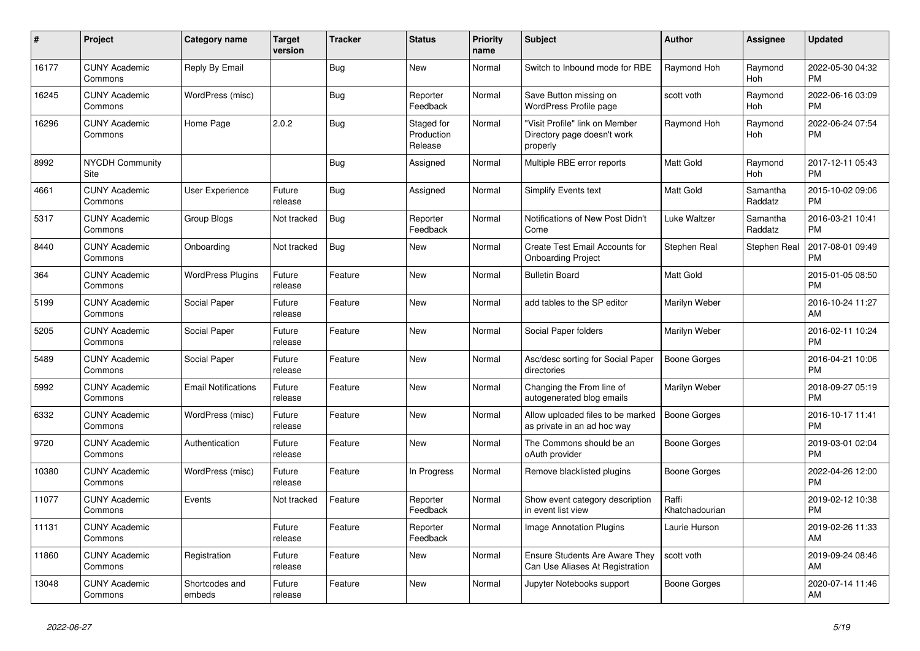| $\#$  | Project                         | <b>Category name</b>       | <b>Target</b><br>version | <b>Tracker</b> | <b>Status</b>                       | <b>Priority</b><br>name | <b>Subject</b>                                                            | <b>Author</b>           | <b>Assignee</b>       | <b>Updated</b>                |
|-------|---------------------------------|----------------------------|--------------------------|----------------|-------------------------------------|-------------------------|---------------------------------------------------------------------------|-------------------------|-----------------------|-------------------------------|
| 16177 | <b>CUNY Academic</b><br>Commons | Reply By Email             |                          | <b>Bug</b>     | <b>New</b>                          | Normal                  | Switch to Inbound mode for RBE                                            | Raymond Hoh             | Raymond<br><b>Hoh</b> | 2022-05-30 04:32<br><b>PM</b> |
| 16245 | <b>CUNY Academic</b><br>Commons | WordPress (misc)           |                          | Bug            | Reporter<br>Feedback                | Normal                  | Save Button missing on<br>WordPress Profile page                          | scott voth              | Raymond<br>Hoh        | 2022-06-16 03:09<br><b>PM</b> |
| 16296 | <b>CUNY Academic</b><br>Commons | Home Page                  | 2.0.2                    | <b>Bug</b>     | Staged for<br>Production<br>Release | Normal                  | "Visit Profile" link on Member<br>Directory page doesn't work<br>properly | Raymond Hoh             | Raymond<br>Hoh        | 2022-06-24 07:54<br><b>PM</b> |
| 8992  | <b>NYCDH Community</b><br>Site  |                            |                          | <b>Bug</b>     | Assigned                            | Normal                  | Multiple RBE error reports                                                | <b>Matt Gold</b>        | Raymond<br>Hoh        | 2017-12-11 05:43<br><b>PM</b> |
| 4661  | <b>CUNY Academic</b><br>Commons | <b>User Experience</b>     | Future<br>release        | <b>Bug</b>     | Assigned                            | Normal                  | <b>Simplify Events text</b>                                               | <b>Matt Gold</b>        | Samantha<br>Raddatz   | 2015-10-02 09:06<br><b>PM</b> |
| 5317  | <b>CUNY Academic</b><br>Commons | Group Blogs                | Not tracked              | Bug            | Reporter<br>Feedback                | Normal                  | Notifications of New Post Didn't<br>Come                                  | Luke Waltzer            | Samantha<br>Raddatz   | 2016-03-21 10:41<br><b>PM</b> |
| 8440  | <b>CUNY Academic</b><br>Commons | Onboarding                 | Not tracked              | <b>Bug</b>     | <b>New</b>                          | Normal                  | Create Test Email Accounts for<br><b>Onboarding Project</b>               | Stephen Real            | Stephen Real          | 2017-08-01 09:49<br><b>PM</b> |
| 364   | <b>CUNY Academic</b><br>Commons | <b>WordPress Plugins</b>   | Future<br>release        | Feature        | <b>New</b>                          | Normal                  | <b>Bulletin Board</b>                                                     | Matt Gold               |                       | 2015-01-05 08:50<br><b>PM</b> |
| 5199  | <b>CUNY Academic</b><br>Commons | Social Paper               | Future<br>release        | Feature        | <b>New</b>                          | Normal                  | add tables to the SP editor                                               | Marilyn Weber           |                       | 2016-10-24 11:27<br>AM        |
| 5205  | <b>CUNY Academic</b><br>Commons | Social Paper               | Future<br>release        | Feature        | New                                 | Normal                  | Social Paper folders                                                      | Marilyn Weber           |                       | 2016-02-11 10:24<br><b>PM</b> |
| 5489  | <b>CUNY Academic</b><br>Commons | Social Paper               | Future<br>release        | Feature        | <b>New</b>                          | Normal                  | Asc/desc sorting for Social Paper<br>directories                          | <b>Boone Gorges</b>     |                       | 2016-04-21 10:06<br><b>PM</b> |
| 5992  | <b>CUNY Academic</b><br>Commons | <b>Email Notifications</b> | Future<br>release        | Feature        | <b>New</b>                          | Normal                  | Changing the From line of<br>autogenerated blog emails                    | Marilyn Weber           |                       | 2018-09-27 05:19<br><b>PM</b> |
| 6332  | <b>CUNY Academic</b><br>Commons | WordPress (misc)           | Future<br>release        | Feature        | <b>New</b>                          | Normal                  | Allow uploaded files to be marked<br>as private in an ad hoc way          | <b>Boone Gorges</b>     |                       | 2016-10-17 11:41<br><b>PM</b> |
| 9720  | <b>CUNY Academic</b><br>Commons | Authentication             | Future<br>release        | Feature        | <b>New</b>                          | Normal                  | The Commons should be an<br>oAuth provider                                | Boone Gorges            |                       | 2019-03-01 02:04<br><b>PM</b> |
| 10380 | <b>CUNY Academic</b><br>Commons | WordPress (misc)           | Future<br>release        | Feature        | In Progress                         | Normal                  | Remove blacklisted plugins                                                | Boone Gorges            |                       | 2022-04-26 12:00<br><b>PM</b> |
| 11077 | <b>CUNY Academic</b><br>Commons | Events                     | Not tracked              | Feature        | Reporter<br>Feedback                | Normal                  | Show event category description<br>in event list view                     | Raffi<br>Khatchadourian |                       | 2019-02-12 10:38<br><b>PM</b> |
| 11131 | <b>CUNY Academic</b><br>Commons |                            | Future<br>release        | Feature        | Reporter<br>Feedback                | Normal                  | <b>Image Annotation Plugins</b>                                           | Laurie Hurson           |                       | 2019-02-26 11:33<br>AM        |
| 11860 | <b>CUNY Academic</b><br>Commons | Registration               | Future<br>release        | Feature        | <b>New</b>                          | Normal                  | <b>Ensure Students Are Aware They</b><br>Can Use Aliases At Registration  | scott voth              |                       | 2019-09-24 08:46<br>AM        |
| 13048 | <b>CUNY Academic</b><br>Commons | Shortcodes and<br>embeds   | Future<br>release        | Feature        | <b>New</b>                          | Normal                  | Jupyter Notebooks support                                                 | Boone Gorges            |                       | 2020-07-14 11:46<br>AM        |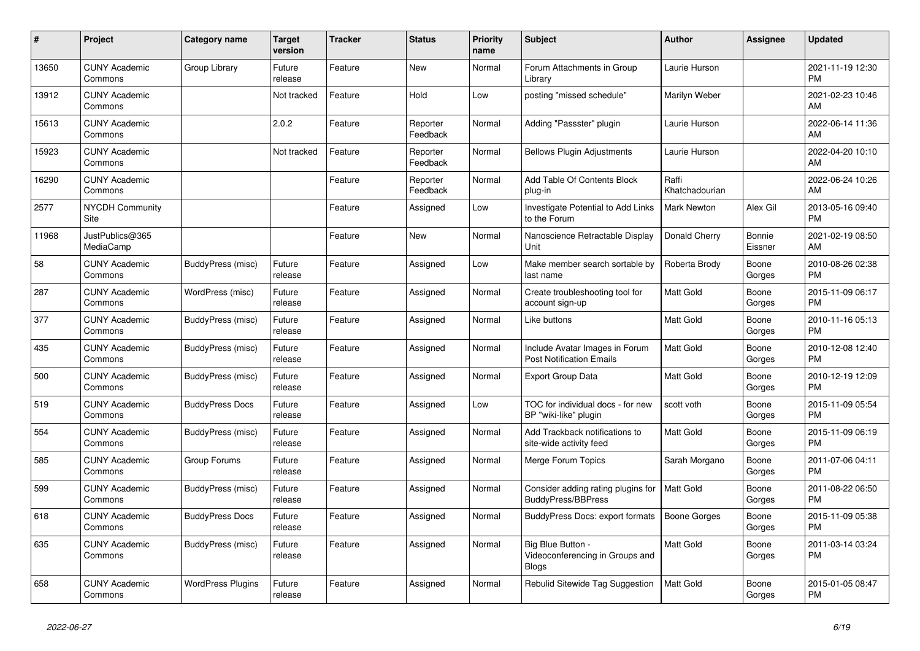| #     | Project                         | Category name            | Target<br>version | <b>Tracker</b> | <b>Status</b>        | <b>Priority</b><br>name | <b>Subject</b>                                                       | <b>Author</b>           | Assignee          | <b>Updated</b>                |
|-------|---------------------------------|--------------------------|-------------------|----------------|----------------------|-------------------------|----------------------------------------------------------------------|-------------------------|-------------------|-------------------------------|
| 13650 | <b>CUNY Academic</b><br>Commons | Group Library            | Future<br>release | Feature        | <b>New</b>           | Normal                  | Forum Attachments in Group<br>Library                                | Laurie Hurson           |                   | 2021-11-19 12:30<br><b>PM</b> |
| 13912 | <b>CUNY Academic</b><br>Commons |                          | Not tracked       | Feature        | Hold                 | Low                     | posting "missed schedule"                                            | Marilyn Weber           |                   | 2021-02-23 10:46<br>AM        |
| 15613 | <b>CUNY Academic</b><br>Commons |                          | 2.0.2             | Feature        | Reporter<br>Feedback | Normal                  | Adding "Passster" plugin                                             | Laurie Hurson           |                   | 2022-06-14 11:36<br>AM        |
| 15923 | <b>CUNY Academic</b><br>Commons |                          | Not tracked       | Feature        | Reporter<br>Feedback | Normal                  | <b>Bellows Plugin Adjustments</b>                                    | Laurie Hurson           |                   | 2022-04-20 10:10<br>AM        |
| 16290 | <b>CUNY Academic</b><br>Commons |                          |                   | Feature        | Reporter<br>Feedback | Normal                  | Add Table Of Contents Block<br>plug-in                               | Raffi<br>Khatchadourian |                   | 2022-06-24 10:26<br>AM        |
| 2577  | <b>NYCDH Community</b><br>Site  |                          |                   | Feature        | Assigned             | Low                     | Investigate Potential to Add Links<br>to the Forum                   | <b>Mark Newton</b>      | Alex Gil          | 2013-05-16 09:40<br><b>PM</b> |
| 11968 | JustPublics@365<br>MediaCamp    |                          |                   | Feature        | <b>New</b>           | Normal                  | Nanoscience Retractable Display<br>Unit                              | Donald Cherry           | Bonnie<br>Eissner | 2021-02-19 08:50<br>AM        |
| 58    | <b>CUNY Academic</b><br>Commons | BuddyPress (misc)        | Future<br>release | Feature        | Assigned             | Low                     | Make member search sortable by<br>last name                          | Roberta Brody           | Boone<br>Gorges   | 2010-08-26 02:38<br><b>PM</b> |
| 287   | <b>CUNY Academic</b><br>Commons | WordPress (misc)         | Future<br>release | Feature        | Assigned             | Normal                  | Create troubleshooting tool for<br>account sign-up                   | Matt Gold               | Boone<br>Gorges   | 2015-11-09 06:17<br><b>PM</b> |
| 377   | <b>CUNY Academic</b><br>Commons | BuddyPress (misc)        | Future<br>release | Feature        | Assigned             | Normal                  | Like buttons                                                         | <b>Matt Gold</b>        | Boone<br>Gorges   | 2010-11-16 05:13<br><b>PM</b> |
| 435   | <b>CUNY Academic</b><br>Commons | BuddyPress (misc)        | Future<br>release | Feature        | Assigned             | Normal                  | Include Avatar Images in Forum<br><b>Post Notification Emails</b>    | <b>Matt Gold</b>        | Boone<br>Gorges   | 2010-12-08 12:40<br><b>PM</b> |
| 500   | <b>CUNY Academic</b><br>Commons | BuddyPress (misc)        | Future<br>release | Feature        | Assigned             | Normal                  | <b>Export Group Data</b>                                             | Matt Gold               | Boone<br>Gorges   | 2010-12-19 12:09<br><b>PM</b> |
| 519   | <b>CUNY Academic</b><br>Commons | <b>BuddyPress Docs</b>   | Future<br>release | Feature        | Assigned             | Low                     | TOC for individual docs - for new<br>BP "wiki-like" plugin           | scott voth              | Boone<br>Gorges   | 2015-11-09 05:54<br><b>PM</b> |
| 554   | <b>CUNY Academic</b><br>Commons | BuddyPress (misc)        | Future<br>release | Feature        | Assigned             | Normal                  | Add Trackback notifications to<br>site-wide activity feed            | <b>Matt Gold</b>        | Boone<br>Gorges   | 2015-11-09 06:19<br><b>PM</b> |
| 585   | <b>CUNY Academic</b><br>Commons | Group Forums             | Future<br>release | Feature        | Assigned             | Normal                  | Merge Forum Topics                                                   | Sarah Morgano           | Boone<br>Gorges   | 2011-07-06 04:11<br><b>PM</b> |
| 599   | <b>CUNY Academic</b><br>Commons | BuddyPress (misc)        | Future<br>release | Feature        | Assigned             | Normal                  | Consider adding rating plugins for<br><b>BuddyPress/BBPress</b>      | <b>Matt Gold</b>        | Boone<br>Gorges   | 2011-08-22 06:50<br><b>PM</b> |
| 618   | <b>CUNY Academic</b><br>Commons | <b>BuddyPress Docs</b>   | Future<br>release | Feature        | Assigned             | Normal                  | BuddyPress Docs: export formats                                      | <b>Boone Gorges</b>     | Boone<br>Gorges   | 2015-11-09 05:38<br><b>PM</b> |
| 635   | <b>CUNY Academic</b><br>Commons | BuddyPress (misc)        | Future<br>release | Feature        | Assigned             | Normal                  | Big Blue Button -<br>Videoconferencing in Groups and<br><b>Blogs</b> | <b>Matt Gold</b>        | Boone<br>Gorges   | 2011-03-14 03:24<br><b>PM</b> |
| 658   | <b>CUNY Academic</b><br>Commons | <b>WordPress Plugins</b> | Future<br>release | Feature        | Assigned             | Normal                  | Rebulid Sitewide Tag Suggestion                                      | Matt Gold               | Boone<br>Gorges   | 2015-01-05 08:47<br>PM        |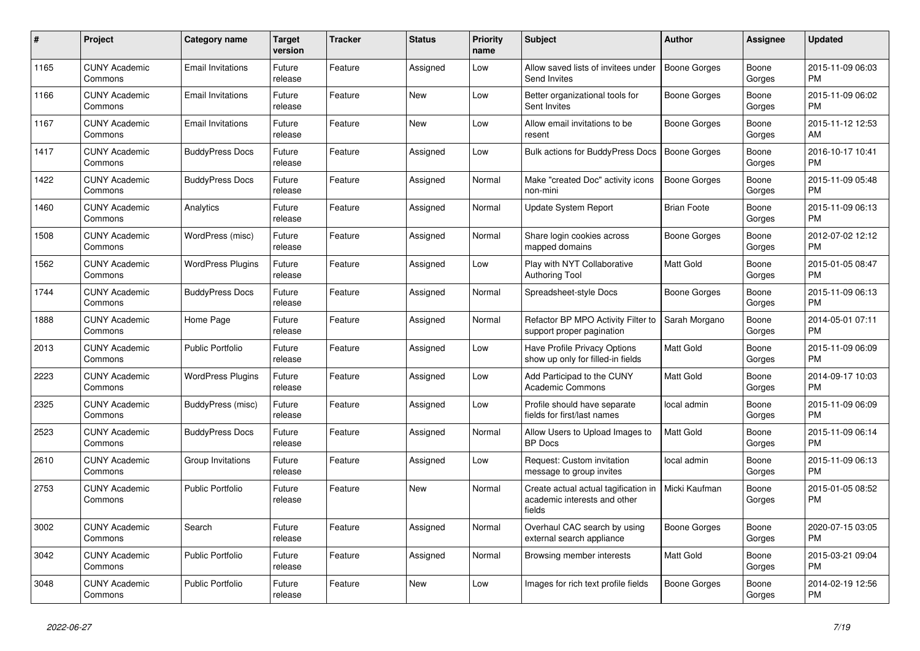| #    | Project                         | Category name            | Target<br>version | <b>Tracker</b> | <b>Status</b> | <b>Priority</b><br>name | <b>Subject</b>                                                                 | <b>Author</b>       | Assignee        | <b>Updated</b>                |
|------|---------------------------------|--------------------------|-------------------|----------------|---------------|-------------------------|--------------------------------------------------------------------------------|---------------------|-----------------|-------------------------------|
| 1165 | <b>CUNY Academic</b><br>Commons | <b>Email Invitations</b> | Future<br>release | Feature        | Assigned      | Low                     | Allow saved lists of invitees under<br>Send Invites                            | Boone Gorges        | Boone<br>Gorges | 2015-11-09 06:03<br><b>PM</b> |
| 1166 | <b>CUNY Academic</b><br>Commons | <b>Email Invitations</b> | Future<br>release | Feature        | <b>New</b>    | Low                     | Better organizational tools for<br>Sent Invites                                | Boone Gorges        | Boone<br>Gorges | 2015-11-09 06:02<br><b>PM</b> |
| 1167 | <b>CUNY Academic</b><br>Commons | <b>Email Invitations</b> | Future<br>release | Feature        | <b>New</b>    | Low                     | Allow email invitations to be<br>resent                                        | Boone Gorges        | Boone<br>Gorges | 2015-11-12 12:53<br>AM        |
| 1417 | <b>CUNY Academic</b><br>Commons | <b>BuddyPress Docs</b>   | Future<br>release | Feature        | Assigned      | Low                     | Bulk actions for BuddyPress Docs                                               | Boone Gorges        | Boone<br>Gorges | 2016-10-17 10:41<br><b>PM</b> |
| 1422 | <b>CUNY Academic</b><br>Commons | <b>BuddyPress Docs</b>   | Future<br>release | Feature        | Assigned      | Normal                  | Make "created Doc" activity icons<br>non-mini                                  | <b>Boone Gorges</b> | Boone<br>Gorges | 2015-11-09 05:48<br><b>PM</b> |
| 1460 | <b>CUNY Academic</b><br>Commons | Analytics                | Future<br>release | Feature        | Assigned      | Normal                  | <b>Update System Report</b>                                                    | <b>Brian Foote</b>  | Boone<br>Gorges | 2015-11-09 06:13<br><b>PM</b> |
| 1508 | <b>CUNY Academic</b><br>Commons | WordPress (misc)         | Future<br>release | Feature        | Assigned      | Normal                  | Share login cookies across<br>mapped domains                                   | Boone Gorges        | Boone<br>Gorges | 2012-07-02 12:12<br><b>PM</b> |
| 1562 | <b>CUNY Academic</b><br>Commons | <b>WordPress Plugins</b> | Future<br>release | Feature        | Assigned      | Low                     | Play with NYT Collaborative<br><b>Authoring Tool</b>                           | <b>Matt Gold</b>    | Boone<br>Gorges | 2015-01-05 08:47<br>PM        |
| 1744 | <b>CUNY Academic</b><br>Commons | <b>BuddyPress Docs</b>   | Future<br>release | Feature        | Assigned      | Normal                  | Spreadsheet-style Docs                                                         | Boone Gorges        | Boone<br>Gorges | 2015-11-09 06:13<br><b>PM</b> |
| 1888 | <b>CUNY Academic</b><br>Commons | Home Page                | Future<br>release | Feature        | Assigned      | Normal                  | Refactor BP MPO Activity Filter to<br>support proper pagination                | Sarah Morgano       | Boone<br>Gorges | 2014-05-01 07:11<br><b>PM</b> |
| 2013 | <b>CUNY Academic</b><br>Commons | <b>Public Portfolio</b>  | Future<br>release | Feature        | Assigned      | Low                     | Have Profile Privacy Options<br>show up only for filled-in fields              | <b>Matt Gold</b>    | Boone<br>Gorges | 2015-11-09 06:09<br><b>PM</b> |
| 2223 | <b>CUNY Academic</b><br>Commons | <b>WordPress Plugins</b> | Future<br>release | Feature        | Assigned      | Low                     | Add Participad to the CUNY<br><b>Academic Commons</b>                          | Matt Gold           | Boone<br>Gorges | 2014-09-17 10:03<br><b>PM</b> |
| 2325 | <b>CUNY Academic</b><br>Commons | BuddyPress (misc)        | Future<br>release | Feature        | Assigned      | Low                     | Profile should have separate<br>fields for first/last names                    | local admin         | Boone<br>Gorges | 2015-11-09 06:09<br><b>PM</b> |
| 2523 | <b>CUNY Academic</b><br>Commons | <b>BuddyPress Docs</b>   | Future<br>release | Feature        | Assigned      | Normal                  | Allow Users to Upload Images to<br><b>BP</b> Docs                              | <b>Matt Gold</b>    | Boone<br>Gorges | 2015-11-09 06:14<br><b>PM</b> |
| 2610 | <b>CUNY Academic</b><br>Commons | Group Invitations        | Future<br>release | Feature        | Assigned      | Low                     | Request: Custom invitation<br>message to group invites                         | local admin         | Boone<br>Gorges | 2015-11-09 06:13<br><b>PM</b> |
| 2753 | <b>CUNY Academic</b><br>Commons | <b>Public Portfolio</b>  | Future<br>release | Feature        | <b>New</b>    | Normal                  | Create actual actual tagification in<br>academic interests and other<br>fields | Micki Kaufman       | Boone<br>Gorges | 2015-01-05 08:52<br><b>PM</b> |
| 3002 | <b>CUNY Academic</b><br>Commons | Search                   | Future<br>release | Feature        | Assigned      | Normal                  | Overhaul CAC search by using<br>external search appliance                      | Boone Gorges        | Boone<br>Gorges | 2020-07-15 03:05<br><b>PM</b> |
| 3042 | <b>CUNY Academic</b><br>Commons | <b>Public Portfolio</b>  | Future<br>release | Feature        | Assigned      | Normal                  | Browsing member interests                                                      | Matt Gold           | Boone<br>Gorges | 2015-03-21 09:04<br><b>PM</b> |
| 3048 | <b>CUNY Academic</b><br>Commons | <b>Public Portfolio</b>  | Future<br>release | Feature        | <b>New</b>    | Low                     | Images for rich text profile fields                                            | Boone Gorges        | Boone<br>Gorges | 2014-02-19 12:56<br><b>PM</b> |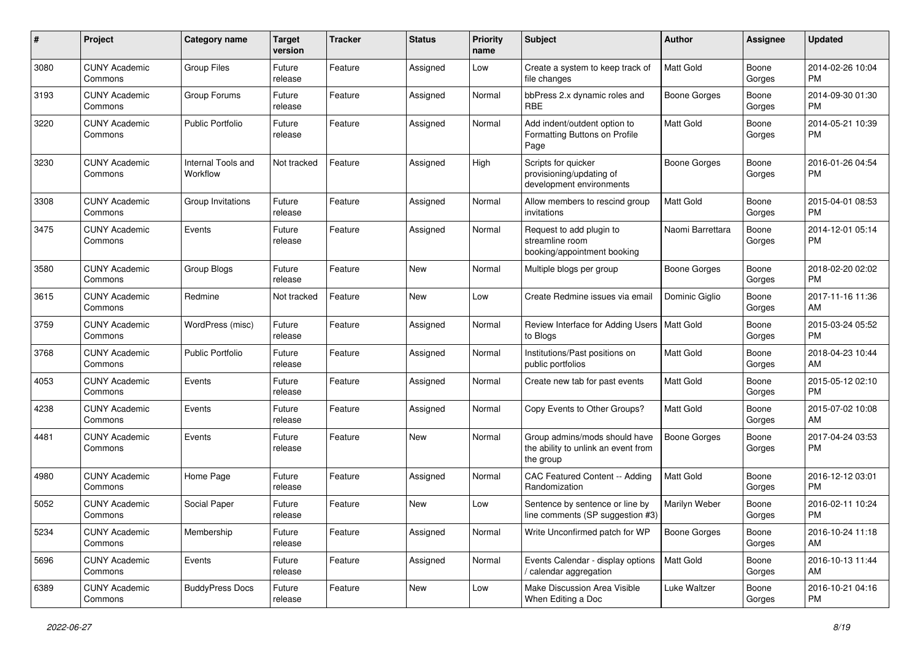| #    | Project                         | <b>Category name</b>           | <b>Target</b><br>version | <b>Tracker</b> | <b>Status</b> | <b>Priority</b><br>name | <b>Subject</b>                                                                    | Author              | <b>Assignee</b> | <b>Updated</b>                |
|------|---------------------------------|--------------------------------|--------------------------|----------------|---------------|-------------------------|-----------------------------------------------------------------------------------|---------------------|-----------------|-------------------------------|
| 3080 | <b>CUNY Academic</b><br>Commons | <b>Group Files</b>             | Future<br>release        | Feature        | Assigned      | Low                     | Create a system to keep track of<br>file changes                                  | <b>Matt Gold</b>    | Boone<br>Gorges | 2014-02-26 10:04<br><b>PM</b> |
| 3193 | <b>CUNY Academic</b><br>Commons | Group Forums                   | Future<br>release        | Feature        | Assigned      | Normal                  | bbPress 2.x dynamic roles and<br><b>RBE</b>                                       | <b>Boone Gorges</b> | Boone<br>Gorges | 2014-09-30 01:30<br><b>PM</b> |
| 3220 | <b>CUNY Academic</b><br>Commons | <b>Public Portfolio</b>        | Future<br>release        | Feature        | Assigned      | Normal                  | Add indent/outdent option to<br>Formatting Buttons on Profile<br>Page             | Matt Gold           | Boone<br>Gorges | 2014-05-21 10:39<br><b>PM</b> |
| 3230 | <b>CUNY Academic</b><br>Commons | Internal Tools and<br>Workflow | Not tracked              | Feature        | Assigned      | High                    | Scripts for quicker<br>provisioning/updating of<br>development environments       | <b>Boone Gorges</b> | Boone<br>Gorges | 2016-01-26 04:54<br>PM        |
| 3308 | <b>CUNY Academic</b><br>Commons | Group Invitations              | Future<br>release        | Feature        | Assigned      | Normal                  | Allow members to rescind group<br>invitations                                     | Matt Gold           | Boone<br>Gorges | 2015-04-01 08:53<br><b>PM</b> |
| 3475 | <b>CUNY Academic</b><br>Commons | Events                         | Future<br>release        | Feature        | Assigned      | Normal                  | Request to add plugin to<br>streamline room<br>booking/appointment booking        | Naomi Barrettara    | Boone<br>Gorges | 2014-12-01 05:14<br><b>PM</b> |
| 3580 | <b>CUNY Academic</b><br>Commons | Group Blogs                    | Future<br>release        | Feature        | New           | Normal                  | Multiple blogs per group                                                          | <b>Boone Gorges</b> | Boone<br>Gorges | 2018-02-20 02:02<br><b>PM</b> |
| 3615 | <b>CUNY Academic</b><br>Commons | Redmine                        | Not tracked              | Feature        | <b>New</b>    | Low                     | Create Redmine issues via emai                                                    | Dominic Gialio      | Boone<br>Gorges | 2017-11-16 11:36<br>AM        |
| 3759 | <b>CUNY Academic</b><br>Commons | WordPress (misc)               | Future<br>release        | Feature        | Assigned      | Normal                  | Review Interface for Adding Users   Matt Gold<br>to Blogs                         |                     | Boone<br>Gorges | 2015-03-24 05:52<br><b>PM</b> |
| 3768 | <b>CUNY Academic</b><br>Commons | <b>Public Portfolio</b>        | Future<br>release        | Feature        | Assigned      | Normal                  | Institutions/Past positions on<br>public portfolios                               | Matt Gold           | Boone<br>Gorges | 2018-04-23 10:44<br>AM        |
| 4053 | <b>CUNY Academic</b><br>Commons | Events                         | Future<br>release        | Feature        | Assigned      | Normal                  | Create new tab for past events                                                    | Matt Gold           | Boone<br>Gorges | 2015-05-12 02:10<br><b>PM</b> |
| 4238 | <b>CUNY Academic</b><br>Commons | Events                         | Future<br>release        | Feature        | Assigned      | Normal                  | Copy Events to Other Groups?                                                      | <b>Matt Gold</b>    | Boone<br>Gorges | 2015-07-02 10:08<br>AM        |
| 4481 | <b>CUNY Academic</b><br>Commons | Events                         | Future<br>release        | Feature        | New           | Normal                  | Group admins/mods should have<br>the ability to unlink an event from<br>the group | <b>Boone Gorges</b> | Boone<br>Gorges | 2017-04-24 03:53<br><b>PM</b> |
| 4980 | <b>CUNY Academic</b><br>Commons | Home Page                      | Future<br>release        | Feature        | Assigned      | Normal                  | CAC Featured Content -- Adding<br>Randomization                                   | <b>Matt Gold</b>    | Boone<br>Gorges | 2016-12-12 03:01<br><b>PM</b> |
| 5052 | <b>CUNY Academic</b><br>Commons | Social Paper                   | Future<br>release        | Feature        | <b>New</b>    | Low                     | Sentence by sentence or line by<br>line comments (SP suggestion #3)               | Marilyn Weber       | Boone<br>Gorges | 2016-02-11 10:24<br><b>PM</b> |
| 5234 | <b>CUNY Academic</b><br>Commons | Membership                     | Future<br>release        | Feature        | Assigned      | Normal                  | Write Unconfirmed patch for WP                                                    | <b>Boone Gorges</b> | Boone<br>Gorges | 2016-10-24 11:18<br>AM        |
| 5696 | <b>CUNY Academic</b><br>Commons | Events                         | Future<br>release        | Feature        | Assigned      | Normal                  | Events Calendar - display options<br>/ calendar aggregation                       | <b>Matt Gold</b>    | Boone<br>Gorges | 2016-10-13 11:44<br>AM        |
| 6389 | <b>CUNY Academic</b><br>Commons | <b>BuddyPress Docs</b>         | Future<br>release        | Feature        | New           | Low                     | Make Discussion Area Visible<br>When Editing a Doc                                | Luke Waltzer        | Boone<br>Gorges | 2016-10-21 04:16<br>PM        |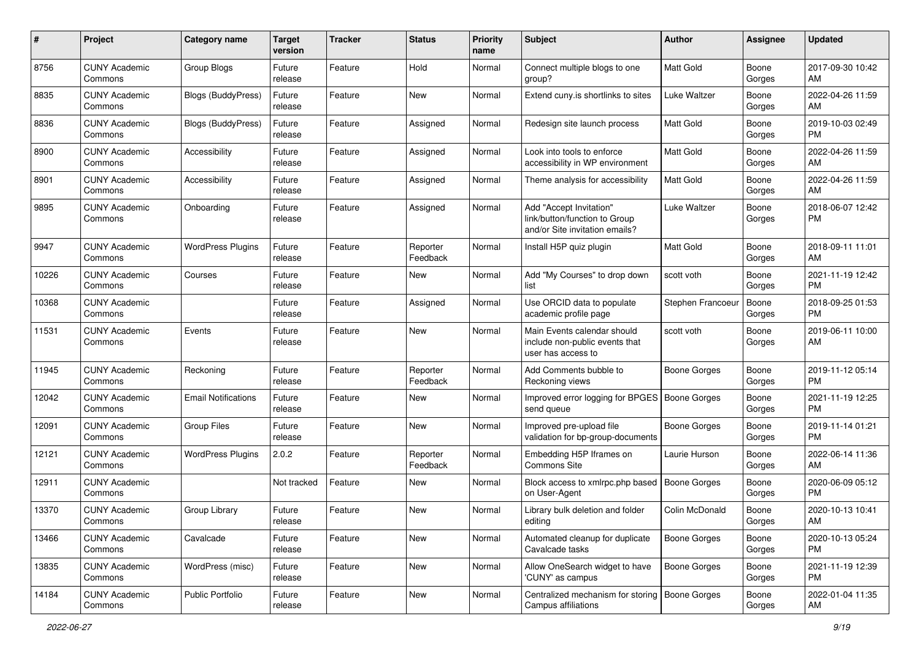| #     | Project                         | <b>Category name</b>       | <b>Target</b><br>version | <b>Tracker</b> | <b>Status</b>        | <b>Priority</b><br>name | Subject                                                                                    | Author              | <b>Assignee</b> | <b>Updated</b>                |
|-------|---------------------------------|----------------------------|--------------------------|----------------|----------------------|-------------------------|--------------------------------------------------------------------------------------------|---------------------|-----------------|-------------------------------|
| 8756  | <b>CUNY Academic</b><br>Commons | Group Blogs                | Future<br>release        | Feature        | Hold                 | Normal                  | Connect multiple blogs to one<br>group?                                                    | <b>Matt Gold</b>    | Boone<br>Gorges | 2017-09-30 10:42<br>AM        |
| 8835  | <b>CUNY Academic</b><br>Commons | <b>Blogs (BuddyPress)</b>  | Future<br>release        | Feature        | New                  | Normal                  | Extend cuny.is shortlinks to sites                                                         | <b>Luke Waltzer</b> | Boone<br>Gorges | 2022-04-26 11:59<br>AM        |
| 8836  | <b>CUNY Academic</b><br>Commons | <b>Blogs (BuddyPress)</b>  | Future<br>release        | Feature        | Assigned             | Normal                  | Redesign site launch process                                                               | Matt Gold           | Boone<br>Gorges | 2019-10-03 02:49<br><b>PM</b> |
| 8900  | <b>CUNY Academic</b><br>Commons | Accessibility              | Future<br>release        | Feature        | Assigned             | Normal                  | Look into tools to enforce<br>accessibility in WP environment                              | <b>Matt Gold</b>    | Boone<br>Gorges | 2022-04-26 11:59<br>AM        |
| 8901  | <b>CUNY Academic</b><br>Commons | Accessibility              | Future<br>release        | Feature        | Assigned             | Normal                  | Theme analysis for accessibility                                                           | Matt Gold           | Boone<br>Gorges | 2022-04-26 11:59<br>AM        |
| 9895  | <b>CUNY Academic</b><br>Commons | Onboarding                 | Future<br>release        | Feature        | Assigned             | Normal                  | Add "Accept Invitation"<br>link/button/function to Group<br>and/or Site invitation emails? | Luke Waltzer        | Boone<br>Gorges | 2018-06-07 12:42<br>PM        |
| 9947  | <b>CUNY Academic</b><br>Commons | <b>WordPress Plugins</b>   | Future<br>release        | Feature        | Reporter<br>Feedback | Normal                  | Install H5P quiz plugin                                                                    | <b>Matt Gold</b>    | Boone<br>Gorges | 2018-09-11 11:01<br>AM        |
| 10226 | <b>CUNY Academic</b><br>Commons | Courses                    | Future<br>release        | Feature        | New                  | Normal                  | Add "My Courses" to drop down<br>list                                                      | scott voth          | Boone<br>Gorges | 2021-11-19 12:42<br>PM        |
| 10368 | <b>CUNY Academic</b><br>Commons |                            | Future<br>release        | Feature        | Assigned             | Normal                  | Use ORCID data to populate<br>academic profile page                                        | Stephen Francoeur   | Boone<br>Gorges | 2018-09-25 01:53<br><b>PM</b> |
| 11531 | <b>CUNY Academic</b><br>Commons | Events                     | Future<br>release        | Feature        | New                  | Normal                  | Main Events calendar should<br>include non-public events that<br>user has access to        | scott voth          | Boone<br>Gorges | 2019-06-11 10:00<br>AM        |
| 11945 | <b>CUNY Academic</b><br>Commons | Reckoning                  | Future<br>release        | Feature        | Reporter<br>Feedback | Normal                  | Add Comments bubble to<br>Reckoning views                                                  | <b>Boone Gorges</b> | Boone<br>Gorges | 2019-11-12 05:14<br><b>PM</b> |
| 12042 | <b>CUNY Academic</b><br>Commons | <b>Email Notifications</b> | Future<br>release        | Feature        | New                  | Normal                  | Improved error logging for BPGES<br>send queue                                             | <b>Boone Gorges</b> | Boone<br>Gorges | 2021-11-19 12:25<br><b>PM</b> |
| 12091 | <b>CUNY Academic</b><br>Commons | <b>Group Files</b>         | Future<br>release        | Feature        | New                  | Normal                  | Improved pre-upload file<br>validation for bp-group-documents                              | <b>Boone Gorges</b> | Boone<br>Gorges | 2019-11-14 01:21<br><b>PM</b> |
| 12121 | <b>CUNY Academic</b><br>Commons | <b>WordPress Plugins</b>   | 2.0.2                    | Feature        | Reporter<br>Feedback | Normal                  | Embedding H5P Iframes on<br><b>Commons Site</b>                                            | Laurie Hurson       | Boone<br>Gorges | 2022-06-14 11:36<br>AM        |
| 12911 | <b>CUNY Academic</b><br>Commons |                            | Not tracked              | Feature        | New                  | Normal                  | Block access to xmlrpc.php based<br>on User-Agent                                          | Boone Gorges        | Boone<br>Gorges | 2020-06-09 05:12<br><b>PM</b> |
| 13370 | <b>CUNY Academic</b><br>Commons | Group Library              | Future<br>release        | Feature        | New                  | Normal                  | Library bulk deletion and folder<br>editing                                                | Colin McDonald      | Boone<br>Gorges | 2020-10-13 10:41<br>AM        |
| 13466 | <b>CUNY Academic</b><br>Commons | Cavalcade                  | Future<br>release        | Feature        | New                  | Normal                  | Automated cleanup for duplicate<br>Cavalcade tasks                                         | <b>Boone Gorges</b> | Boone<br>Gorges | 2020-10-13 05:24<br>PM        |
| 13835 | <b>CUNY Academic</b><br>Commons | WordPress (misc)           | Future<br>release        | Feature        | New                  | Normal                  | Allow OneSearch widget to have<br>'CUNY' as campus                                         | <b>Boone Gorges</b> | Boone<br>Gorges | 2021-11-19 12:39<br>PM        |
| 14184 | <b>CUNY Academic</b><br>Commons | Public Portfolio           | Future<br>release        | Feature        | New                  | Normal                  | Centralized mechanism for storing<br>Campus affiliations                                   | Boone Gorges        | Boone<br>Gorges | 2022-01-04 11:35<br>AM        |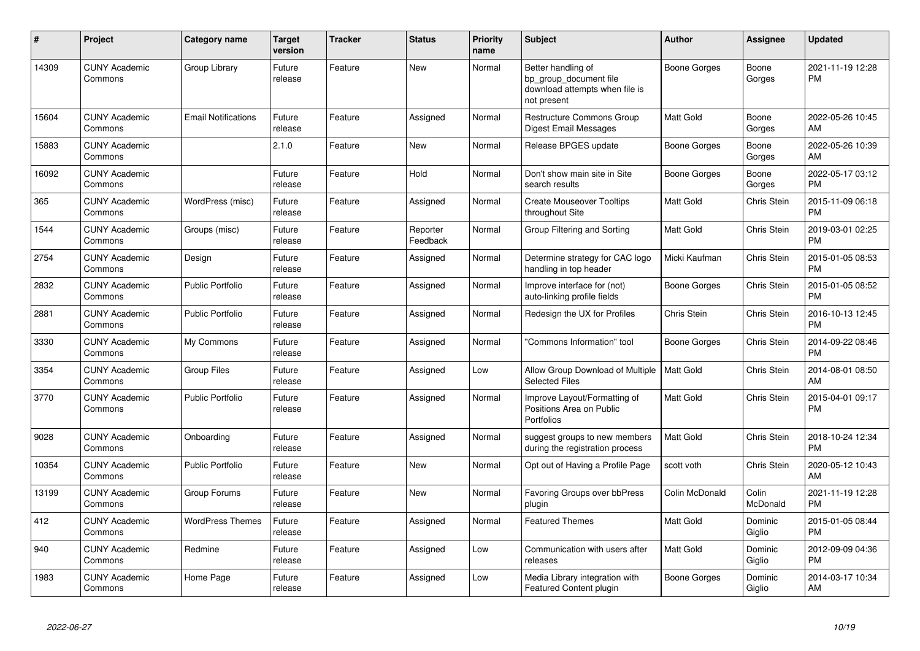| #     | Project                         | <b>Category name</b>       | Target<br>version | <b>Tracker</b> | <b>Status</b>        | <b>Priority</b><br>name | <b>Subject</b>                                                                                | <b>Author</b>      | <b>Assignee</b>   | <b>Updated</b>                |
|-------|---------------------------------|----------------------------|-------------------|----------------|----------------------|-------------------------|-----------------------------------------------------------------------------------------------|--------------------|-------------------|-------------------------------|
| 14309 | <b>CUNY Academic</b><br>Commons | Group Library              | Future<br>release | Feature        | <b>New</b>           | Normal                  | Better handling of<br>bp_group_document file<br>download attempts when file is<br>not present | Boone Gorges       | Boone<br>Gorges   | 2021-11-19 12:28<br><b>PM</b> |
| 15604 | <b>CUNY Academic</b><br>Commons | <b>Email Notifications</b> | Future<br>release | Feature        | Assigned             | Normal                  | <b>Restructure Commons Group</b><br>Digest Email Messages                                     | Matt Gold          | Boone<br>Gorges   | 2022-05-26 10:45<br>AM        |
| 15883 | <b>CUNY Academic</b><br>Commons |                            | 2.1.0             | Feature        | <b>New</b>           | Normal                  | Release BPGES update                                                                          | Boone Gorges       | Boone<br>Gorges   | 2022-05-26 10:39<br>AM        |
| 16092 | <b>CUNY Academic</b><br>Commons |                            | Future<br>release | Feature        | Hold                 | Normal                  | Don't show main site in Site<br>search results                                                | Boone Gorges       | Boone<br>Gorges   | 2022-05-17 03:12<br><b>PM</b> |
| 365   | <b>CUNY Academic</b><br>Commons | WordPress (misc)           | Future<br>release | Feature        | Assigned             | Normal                  | <b>Create Mouseover Tooltips</b><br>throughout Site                                           | Matt Gold          | Chris Stein       | 2015-11-09 06:18<br><b>PM</b> |
| 1544  | <b>CUNY Academic</b><br>Commons | Groups (misc)              | Future<br>release | Feature        | Reporter<br>Feedback | Normal                  | Group Filtering and Sorting                                                                   | Matt Gold          | Chris Stein       | 2019-03-01 02:25<br><b>PM</b> |
| 2754  | <b>CUNY Academic</b><br>Commons | Design                     | Future<br>release | Feature        | Assigned             | Normal                  | Determine strategy for CAC logo<br>handling in top header                                     | Micki Kaufman      | Chris Stein       | 2015-01-05 08:53<br><b>PM</b> |
| 2832  | <b>CUNY Academic</b><br>Commons | <b>Public Portfolio</b>    | Future<br>release | Feature        | Assigned             | Normal                  | Improve interface for (not)<br>auto-linking profile fields                                    | Boone Gorges       | Chris Stein       | 2015-01-05 08:52<br><b>PM</b> |
| 2881  | <b>CUNY Academic</b><br>Commons | <b>Public Portfolio</b>    | Future<br>release | Feature        | Assigned             | Normal                  | Redesign the UX for Profiles                                                                  | <b>Chris Stein</b> | Chris Stein       | 2016-10-13 12:45<br><b>PM</b> |
| 3330  | <b>CUNY Academic</b><br>Commons | My Commons                 | Future<br>release | Feature        | Assigned             | Normal                  | "Commons Information" tool                                                                    | Boone Gorges       | Chris Stein       | 2014-09-22 08:46<br><b>PM</b> |
| 3354  | <b>CUNY Academic</b><br>Commons | <b>Group Files</b>         | Future<br>release | Feature        | Assigned             | Low                     | Allow Group Download of Multiple<br><b>Selected Files</b>                                     | <b>Matt Gold</b>   | Chris Stein       | 2014-08-01 08:50<br>AM        |
| 3770  | <b>CUNY Academic</b><br>Commons | <b>Public Portfolio</b>    | Future<br>release | Feature        | Assigned             | Normal                  | Improve Layout/Formatting of<br>Positions Area on Public<br><b>Portfolios</b>                 | Matt Gold          | Chris Stein       | 2015-04-01 09:17<br><b>PM</b> |
| 9028  | <b>CUNY Academic</b><br>Commons | Onboarding                 | Future<br>release | Feature        | Assigned             | Normal                  | suggest groups to new members<br>during the registration process                              | <b>Matt Gold</b>   | Chris Stein       | 2018-10-24 12:34<br><b>PM</b> |
| 10354 | <b>CUNY Academic</b><br>Commons | <b>Public Portfolio</b>    | Future<br>release | Feature        | New                  | Normal                  | Opt out of Having a Profile Page                                                              | scott voth         | Chris Stein       | 2020-05-12 10:43<br>AM        |
| 13199 | <b>CUNY Academic</b><br>Commons | Group Forums               | Future<br>release | Feature        | <b>New</b>           | Normal                  | <b>Favoring Groups over bbPress</b><br>plugin                                                 | Colin McDonald     | Colin<br>McDonald | 2021-11-19 12:28<br><b>PM</b> |
| 412   | <b>CUNY Academic</b><br>Commons | <b>WordPress Themes</b>    | Future<br>release | Feature        | Assigned             | Normal                  | <b>Featured Themes</b>                                                                        | Matt Gold          | Dominic<br>Giglio | 2015-01-05 08:44<br><b>PM</b> |
| 940   | <b>CUNY Academic</b><br>Commons | Redmine                    | Future<br>release | Feature        | Assigned             | Low                     | Communication with users after<br>releases                                                    | <b>Matt Gold</b>   | Dominic<br>Giglio | 2012-09-09 04:36<br><b>PM</b> |
| 1983  | <b>CUNY Academic</b><br>Commons | Home Page                  | Future<br>release | Feature        | Assigned             | Low                     | Media Library integration with<br>Featured Content plugin                                     | Boone Gorges       | Dominic<br>Giglio | 2014-03-17 10:34<br>AM        |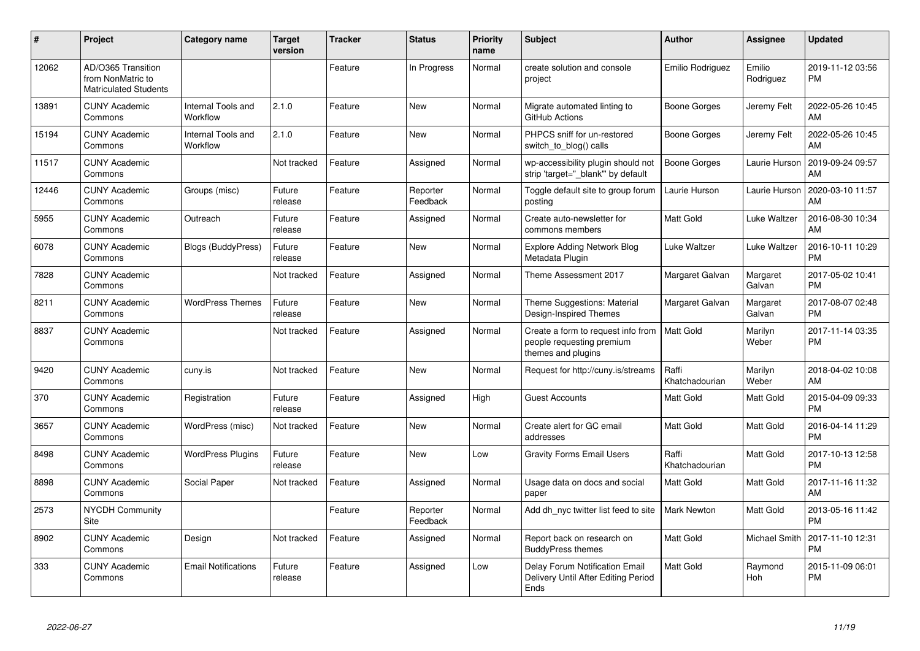| #     | Project                                                                 | <b>Category name</b>           | <b>Target</b><br>version | Tracker | <b>Status</b>        | <b>Priority</b><br>name | <b>Subject</b>                                                                        | <b>Author</b>           | Assignee            | <b>Updated</b>                |
|-------|-------------------------------------------------------------------------|--------------------------------|--------------------------|---------|----------------------|-------------------------|---------------------------------------------------------------------------------------|-------------------------|---------------------|-------------------------------|
| 12062 | AD/O365 Transition<br>from NonMatric to<br><b>Matriculated Students</b> |                                |                          | Feature | In Progress          | Normal                  | create solution and console<br>project                                                | Emilio Rodriguez        | Emilio<br>Rodriguez | 2019-11-12 03:56<br><b>PM</b> |
| 13891 | <b>CUNY Academic</b><br>Commons                                         | Internal Tools and<br>Workflow | 2.1.0                    | Feature | <b>New</b>           | Normal                  | Migrate automated linting to<br>GitHub Actions                                        | Boone Gorges            | Jeremy Felt         | 2022-05-26 10:45<br>AM        |
| 15194 | <b>CUNY Academic</b><br>Commons                                         | Internal Tools and<br>Workflow | 2.1.0                    | Feature | <b>New</b>           | Normal                  | PHPCS sniff for un-restored<br>switch_to_blog() calls                                 | Boone Gorges            | Jeremy Felt         | 2022-05-26 10:45<br>AM        |
| 11517 | <b>CUNY Academic</b><br>Commons                                         |                                | Not tracked              | Feature | Assigned             | Normal                  | wp-accessibility plugin should not<br>strip 'target="_blank" by default               | <b>Boone Gorges</b>     | Laurie Hurson       | 2019-09-24 09:57<br>AM        |
| 12446 | <b>CUNY Academic</b><br>Commons                                         | Groups (misc)                  | Future<br>release        | Feature | Reporter<br>Feedback | Normal                  | Toggle default site to group forum<br>posting                                         | Laurie Hurson           | Laurie Hurson       | 2020-03-10 11:57<br>AM        |
| 5955  | <b>CUNY Academic</b><br>Commons                                         | Outreach                       | Future<br>release        | Feature | Assigned             | Normal                  | Create auto-newsletter for<br>commons members                                         | <b>Matt Gold</b>        | Luke Waltzer        | 2016-08-30 10:34<br>AM        |
| 6078  | <b>CUNY Academic</b><br>Commons                                         | Blogs (BuddyPress)             | Future<br>release        | Feature | <b>New</b>           | Normal                  | <b>Explore Adding Network Blog</b><br>Metadata Plugin                                 | Luke Waltzer            | Luke Waltzer        | 2016-10-11 10:29<br><b>PM</b> |
| 7828  | <b>CUNY Academic</b><br>Commons                                         |                                | Not tracked              | Feature | Assigned             | Normal                  | Theme Assessment 2017                                                                 | Margaret Galvan         | Margaret<br>Galvan  | 2017-05-02 10:41<br><b>PM</b> |
| 8211  | <b>CUNY Academic</b><br>Commons                                         | <b>WordPress Themes</b>        | Future<br>release        | Feature | <b>New</b>           | Normal                  | Theme Suggestions: Material<br>Design-Inspired Themes                                 | Margaret Galvan         | Margaret<br>Galvan  | 2017-08-07 02:48<br><b>PM</b> |
| 8837  | <b>CUNY Academic</b><br>Commons                                         |                                | Not tracked              | Feature | Assigned             | Normal                  | Create a form to request info from<br>people requesting premium<br>themes and plugins | <b>Matt Gold</b>        | Marilyn<br>Weber    | 2017-11-14 03:35<br><b>PM</b> |
| 9420  | <b>CUNY Academic</b><br>Commons                                         | cuny.is                        | Not tracked              | Feature | <b>New</b>           | Normal                  | Request for http://cuny.is/streams                                                    | Raffi<br>Khatchadourian | Marilyn<br>Weber    | 2018-04-02 10:08<br>AM        |
| 370   | <b>CUNY Academic</b><br>Commons                                         | Registration                   | Future<br>release        | Feature | Assigned             | High                    | <b>Guest Accounts</b>                                                                 | <b>Matt Gold</b>        | Matt Gold           | 2015-04-09 09:33<br><b>PM</b> |
| 3657  | <b>CUNY Academic</b><br>Commons                                         | WordPress (misc)               | Not tracked              | Feature | New                  | Normal                  | Create alert for GC email<br>addresses                                                | Matt Gold               | Matt Gold           | 2016-04-14 11:29<br><b>PM</b> |
| 8498  | <b>CUNY Academic</b><br>Commons                                         | <b>WordPress Plugins</b>       | Future<br>release        | Feature | <b>New</b>           | Low                     | <b>Gravity Forms Email Users</b>                                                      | Raffi<br>Khatchadourian | Matt Gold           | 2017-10-13 12:58<br><b>PM</b> |
| 8898  | <b>CUNY Academic</b><br>Commons                                         | Social Paper                   | Not tracked              | Feature | Assigned             | Normal                  | Usage data on docs and social<br>paper                                                | <b>Matt Gold</b>        | Matt Gold           | 2017-11-16 11:32<br>AM        |
| 2573  | <b>NYCDH Community</b><br>Site                                          |                                |                          | Feature | Reporter<br>Feedback | Normal                  | Add dh_nyc twitter list feed to site                                                  | <b>Mark Newton</b>      | <b>Matt Gold</b>    | 2013-05-16 11:42<br><b>PM</b> |
| 8902  | <b>CUNY Academic</b><br>Commons                                         | Design                         | Not tracked              | Feature | Assigned             | Normal                  | Report back on research on<br><b>BuddyPress themes</b>                                | Matt Gold               | Michael Smith       | 2017-11-10 12:31<br><b>PM</b> |
| 333   | <b>CUNY Academic</b><br>Commons                                         | <b>Email Notifications</b>     | Future<br>release        | Feature | Assigned             | Low                     | Delay Forum Notification Email<br>Delivery Until After Editing Period<br>Ends         | <b>Matt Gold</b>        | Raymond<br>Hoh      | 2015-11-09 06:01<br><b>PM</b> |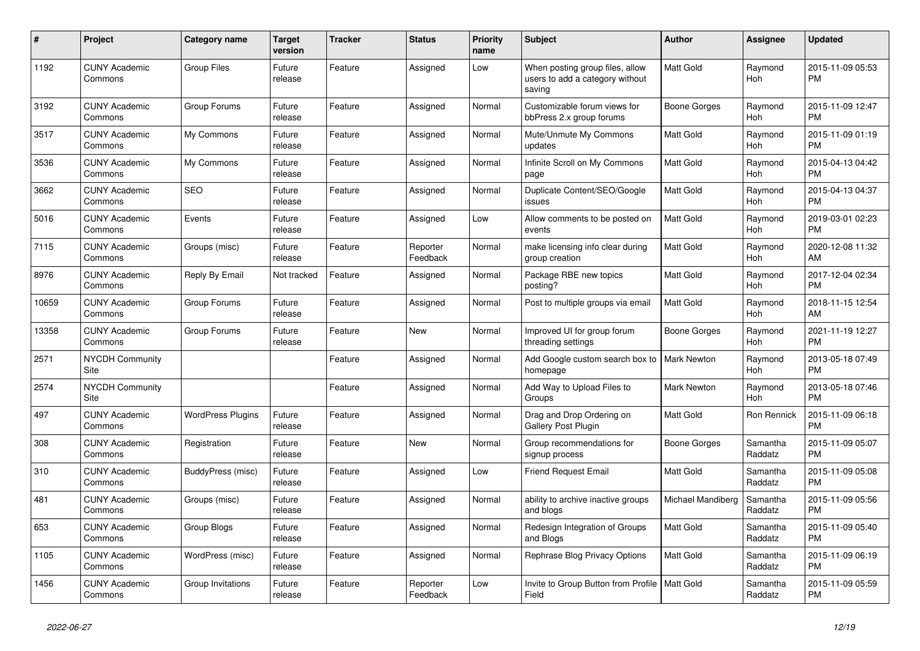| #     | <b>Project</b>                  | <b>Category name</b>     | Target<br>version | Tracker | <b>Status</b>        | <b>Priority</b><br>name | <b>Subject</b>                                                               | <b>Author</b>      | Assignee              | <b>Updated</b>                |
|-------|---------------------------------|--------------------------|-------------------|---------|----------------------|-------------------------|------------------------------------------------------------------------------|--------------------|-----------------------|-------------------------------|
| 1192  | <b>CUNY Academic</b><br>Commons | <b>Group Files</b>       | Future<br>release | Feature | Assigned             | Low                     | When posting group files, allow<br>users to add a category without<br>saving | <b>Matt Gold</b>   | Raymond<br><b>Hoh</b> | 2015-11-09 05:53<br><b>PM</b> |
| 3192  | <b>CUNY Academic</b><br>Commons | Group Forums             | Future<br>release | Feature | Assigned             | Normal                  | Customizable forum views for<br>bbPress 2.x group forums                     | Boone Gorges       | Raymond<br><b>Hoh</b> | 2015-11-09 12:47<br><b>PM</b> |
| 3517  | <b>CUNY Academic</b><br>Commons | My Commons               | Future<br>release | Feature | Assigned             | Normal                  | Mute/Unmute My Commons<br>updates                                            | <b>Matt Gold</b>   | Raymond<br><b>Hoh</b> | 2015-11-09 01:19<br><b>PM</b> |
| 3536  | <b>CUNY Academic</b><br>Commons | My Commons               | Future<br>release | Feature | Assigned             | Normal                  | Infinite Scroll on My Commons<br>page                                        | Matt Gold          | Raymond<br>Hoh        | 2015-04-13 04:42<br><b>PM</b> |
| 3662  | <b>CUNY Academic</b><br>Commons | <b>SEO</b>               | Future<br>release | Feature | Assigned             | Normal                  | Duplicate Content/SEO/Google<br>issues                                       | <b>Matt Gold</b>   | Raymond<br>Hoh        | 2015-04-13 04:37<br><b>PM</b> |
| 5016  | <b>CUNY Academic</b><br>Commons | Events                   | Future<br>release | Feature | Assigned             | Low                     | Allow comments to be posted on<br>events                                     | <b>Matt Gold</b>   | Raymond<br><b>Hoh</b> | 2019-03-01 02:23<br><b>PM</b> |
| 7115  | <b>CUNY Academic</b><br>Commons | Groups (misc)            | Future<br>release | Feature | Reporter<br>Feedback | Normal                  | make licensing info clear during<br>group creation                           | <b>Matt Gold</b>   | Raymond<br>Hoh        | 2020-12-08 11:32<br>AM        |
| 8976  | <b>CUNY Academic</b><br>Commons | Reply By Email           | Not tracked       | Feature | Assigned             | Normal                  | Package RBE new topics<br>posting?                                           | <b>Matt Gold</b>   | Raymond<br>Hoh        | 2017-12-04 02:34<br><b>PM</b> |
| 10659 | <b>CUNY Academic</b><br>Commons | Group Forums             | Future<br>release | Feature | Assigned             | Normal                  | Post to multiple groups via email                                            | Matt Gold          | Raymond<br>Hoh        | 2018-11-15 12:54<br>AM        |
| 13358 | <b>CUNY Academic</b><br>Commons | Group Forums             | Future<br>release | Feature | <b>New</b>           | Normal                  | Improved UI for group forum<br>threading settings                            | Boone Gorges       | Raymond<br>Hoh        | 2021-11-19 12:27<br><b>PM</b> |
| 2571  | <b>NYCDH Community</b><br>Site  |                          |                   | Feature | Assigned             | Normal                  | Add Google custom search box to<br>homepage                                  | <b>Mark Newton</b> | Raymond<br>Hoh        | 2013-05-18 07:49<br><b>PM</b> |
| 2574  | <b>NYCDH Community</b><br>Site  |                          |                   | Feature | Assigned             | Normal                  | Add Way to Upload Files to<br>Groups                                         | <b>Mark Newton</b> | Raymond<br>Hoh        | 2013-05-18 07:46<br><b>PM</b> |
| 497   | <b>CUNY Academic</b><br>Commons | <b>WordPress Plugins</b> | Future<br>release | Feature | Assigned             | Normal                  | Drag and Drop Ordering on<br><b>Gallery Post Plugin</b>                      | Matt Gold          | Ron Rennick           | 2015-11-09 06:18<br><b>PM</b> |
| 308   | <b>CUNY Academic</b><br>Commons | Registration             | Future<br>release | Feature | <b>New</b>           | Normal                  | Group recommendations for<br>signup process                                  | Boone Gorges       | Samantha<br>Raddatz   | 2015-11-09 05:07<br><b>PM</b> |
| 310   | <b>CUNY Academic</b><br>Commons | BuddyPress (misc)        | Future<br>release | Feature | Assigned             | Low                     | <b>Friend Request Email</b>                                                  | Matt Gold          | Samantha<br>Raddatz   | 2015-11-09 05:08<br><b>PM</b> |
| 481   | <b>CUNY Academic</b><br>Commons | Groups (misc)            | Future<br>release | Feature | Assigned             | Normal                  | ability to archive inactive groups<br>and blogs                              | Michael Mandiberg  | Samantha<br>Raddatz   | 2015-11-09 05:56<br><b>PM</b> |
| 653   | <b>CUNY Academic</b><br>Commons | Group Blogs              | Future<br>release | Feature | Assigned             | Normal                  | Redesign Integration of Groups<br>and Blogs                                  | Matt Gold          | Samantha<br>Raddatz   | 2015-11-09 05:40<br><b>PM</b> |
| 1105  | <b>CUNY Academic</b><br>Commons | WordPress (misc)         | Future<br>release | Feature | Assigned             | Normal                  | Rephrase Blog Privacy Options                                                | <b>Matt Gold</b>   | Samantha<br>Raddatz   | 2015-11-09 06:19<br><b>PM</b> |
| 1456  | <b>CUNY Academic</b><br>Commons | Group Invitations        | Future<br>release | Feature | Reporter<br>Feedback | Low                     | Invite to Group Button from Profile  <br>Field                               | <b>Matt Gold</b>   | Samantha<br>Raddatz   | 2015-11-09 05:59<br><b>PM</b> |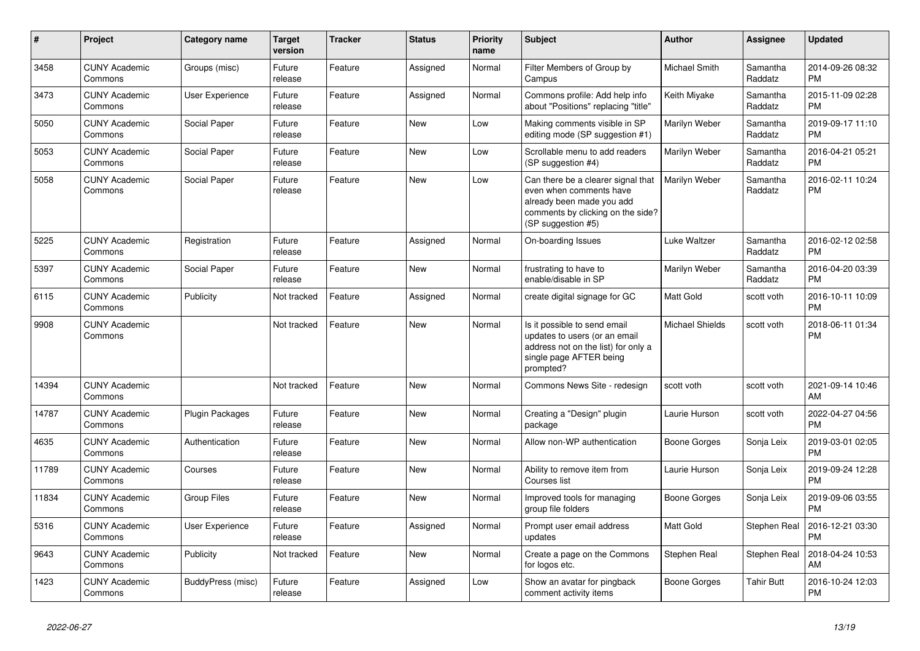| #     | <b>Project</b>                  | <b>Category name</b>   | <b>Target</b><br>version | <b>Tracker</b> | <b>Status</b> | Priority<br>name | <b>Subject</b>                                                                                                                                        | <b>Author</b>          | Assignee            | <b>Updated</b>                |
|-------|---------------------------------|------------------------|--------------------------|----------------|---------------|------------------|-------------------------------------------------------------------------------------------------------------------------------------------------------|------------------------|---------------------|-------------------------------|
| 3458  | <b>CUNY Academic</b><br>Commons | Groups (misc)          | Future<br>release        | Feature        | Assigned      | Normal           | Filter Members of Group by<br>Campus                                                                                                                  | Michael Smith          | Samantha<br>Raddatz | 2014-09-26 08:32<br><b>PM</b> |
| 3473  | <b>CUNY Academic</b><br>Commons | User Experience        | Future<br>release        | Feature        | Assigned      | Normal           | Commons profile: Add help info<br>about "Positions" replacing "title"                                                                                 | Keith Miyake           | Samantha<br>Raddatz | 2015-11-09 02:28<br><b>PM</b> |
| 5050  | <b>CUNY Academic</b><br>Commons | Social Paper           | Future<br>release        | Feature        | <b>New</b>    | Low              | Making comments visible in SP<br>editing mode (SP suggestion #1)                                                                                      | Marilyn Weber          | Samantha<br>Raddatz | 2019-09-17 11:10<br><b>PM</b> |
| 5053  | <b>CUNY Academic</b><br>Commons | Social Paper           | Future<br>release        | Feature        | New           | Low              | Scrollable menu to add readers<br>(SP suggestion #4)                                                                                                  | Marilyn Weber          | Samantha<br>Raddatz | 2016-04-21 05:21<br><b>PM</b> |
| 5058  | <b>CUNY Academic</b><br>Commons | Social Paper           | Future<br>release        | Feature        | New           | Low              | Can there be a clearer signal that<br>even when comments have<br>already been made you add<br>comments by clicking on the side?<br>(SP suggestion #5) | Marilyn Weber          | Samantha<br>Raddatz | 2016-02-11 10:24<br><b>PM</b> |
| 5225  | <b>CUNY Academic</b><br>Commons | Registration           | Future<br>release        | Feature        | Assigned      | Normal           | On-boarding Issues                                                                                                                                    | <b>Luke Waltzer</b>    | Samantha<br>Raddatz | 2016-02-12 02:58<br><b>PM</b> |
| 5397  | <b>CUNY Academic</b><br>Commons | Social Paper           | Future<br>release        | Feature        | <b>New</b>    | Normal           | frustrating to have to<br>enable/disable in SP                                                                                                        | Marilyn Weber          | Samantha<br>Raddatz | 2016-04-20 03:39<br><b>PM</b> |
| 6115  | <b>CUNY Academic</b><br>Commons | Publicity              | Not tracked              | Feature        | Assigned      | Normal           | create digital signage for GC                                                                                                                         | Matt Gold              | scott voth          | 2016-10-11 10:09<br><b>PM</b> |
| 9908  | <b>CUNY Academic</b><br>Commons |                        | Not tracked              | Feature        | <b>New</b>    | Normal           | Is it possible to send email<br>updates to users (or an email<br>address not on the list) for only a<br>single page AFTER being<br>prompted?          | <b>Michael Shields</b> | scott voth          | 2018-06-11 01:34<br><b>PM</b> |
| 14394 | <b>CUNY Academic</b><br>Commons |                        | Not tracked              | Feature        | <b>New</b>    | Normal           | Commons News Site - redesign                                                                                                                          | scott voth             | scott voth          | 2021-09-14 10:46<br>AM        |
| 14787 | <b>CUNY Academic</b><br>Commons | <b>Plugin Packages</b> | Future<br>release        | Feature        | <b>New</b>    | Normal           | Creating a "Design" plugin<br>package                                                                                                                 | Laurie Hurson          | scott voth          | 2022-04-27 04:56<br><b>PM</b> |
| 4635  | <b>CUNY Academic</b><br>Commons | Authentication         | Future<br>release        | Feature        | <b>New</b>    | Normal           | Allow non-WP authentication                                                                                                                           | Boone Gorges           | Sonja Leix          | 2019-03-01 02:05<br><b>PM</b> |
| 11789 | <b>CUNY Academic</b><br>Commons | Courses                | Future<br>release        | Feature        | New           | Normal           | Ability to remove item from<br>Courses list                                                                                                           | Laurie Hurson          | Sonja Leix          | 2019-09-24 12:28<br><b>PM</b> |
| 11834 | <b>CUNY Academic</b><br>Commons | <b>Group Files</b>     | Future<br>release        | Feature        | <b>New</b>    | Normal           | Improved tools for managing<br>group file folders                                                                                                     | Boone Gorges           | Sonja Leix          | 2019-09-06 03:55<br><b>PM</b> |
| 5316  | <b>CUNY Academic</b><br>Commons | User Experience        | Future<br>release        | Feature        | Assigned      | Normal           | Prompt user email address<br>updates                                                                                                                  | Matt Gold              | Stephen Real        | 2016-12-21 03:30<br><b>PM</b> |
| 9643  | <b>CUNY Academic</b><br>Commons | Publicity              | Not tracked              | Feature        | New           | Normal           | Create a page on the Commons<br>for logos etc.                                                                                                        | Stephen Real           | Stephen Real        | 2018-04-24 10:53<br>AM        |
| 1423  | <b>CUNY Academic</b><br>Commons | BuddyPress (misc)      | Future<br>release        | Feature        | Assigned      | Low              | Show an avatar for pingback<br>comment activity items                                                                                                 | <b>Boone Gorges</b>    | <b>Tahir Butt</b>   | 2016-10-24 12:03<br><b>PM</b> |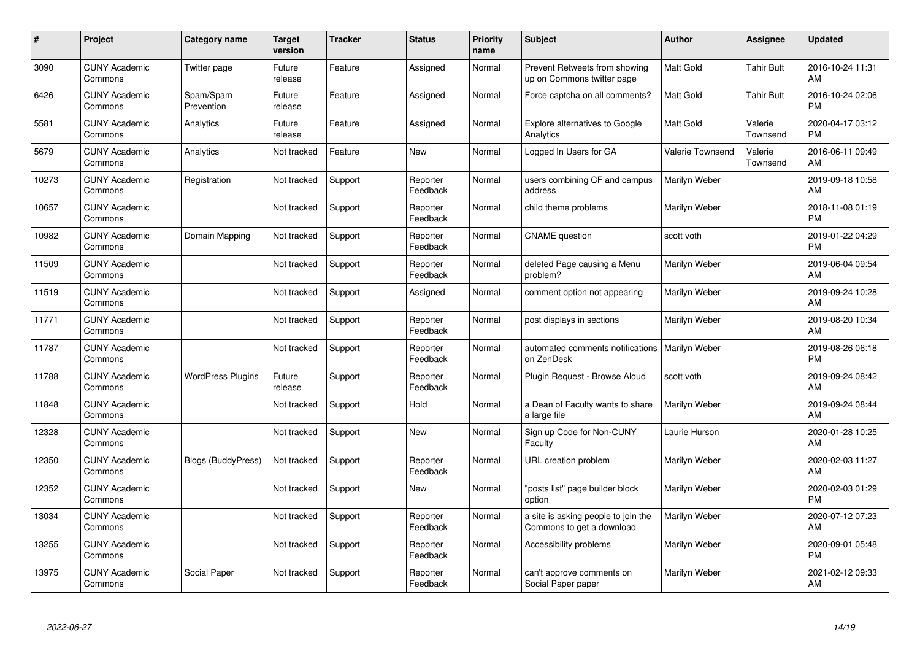| #     | Project                         | <b>Category name</b>      | <b>Target</b><br>version | <b>Tracker</b> | <b>Status</b>        | <b>Priority</b><br>name | <b>Subject</b>                                                   | <b>Author</b>           | Assignee            | <b>Updated</b>                |
|-------|---------------------------------|---------------------------|--------------------------|----------------|----------------------|-------------------------|------------------------------------------------------------------|-------------------------|---------------------|-------------------------------|
| 3090  | <b>CUNY Academic</b><br>Commons | Twitter page              | Future<br>release        | Feature        | Assigned             | Normal                  | Prevent Retweets from showing<br>up on Commons twitter page      | <b>Matt Gold</b>        | Tahir Butt          | 2016-10-24 11:31<br>AM        |
| 6426  | <b>CUNY Academic</b><br>Commons | Spam/Spam<br>Prevention   | Future<br>release        | Feature        | Assigned             | Normal                  | Force captcha on all comments?                                   | <b>Matt Gold</b>        | Tahir Butt          | 2016-10-24 02:06<br><b>PM</b> |
| 5581  | <b>CUNY Academic</b><br>Commons | Analytics                 | Future<br>release        | Feature        | Assigned             | Normal                  | <b>Explore alternatives to Google</b><br>Analytics               | <b>Matt Gold</b>        | Valerie<br>Townsend | 2020-04-17 03:12<br><b>PM</b> |
| 5679  | <b>CUNY Academic</b><br>Commons | Analytics                 | Not tracked              | Feature        | <b>New</b>           | Normal                  | Logged In Users for GA                                           | <b>Valerie Townsend</b> | Valerie<br>Townsend | 2016-06-11 09:49<br>AM        |
| 10273 | <b>CUNY Academic</b><br>Commons | Registration              | Not tracked              | Support        | Reporter<br>Feedback | Normal                  | users combining CF and campus<br>address                         | Marilyn Weber           |                     | 2019-09-18 10:58<br>AM        |
| 10657 | <b>CUNY Academic</b><br>Commons |                           | Not tracked              | Support        | Reporter<br>Feedback | Normal                  | child theme problems                                             | Marilyn Weber           |                     | 2018-11-08 01:19<br><b>PM</b> |
| 10982 | <b>CUNY Academic</b><br>Commons | Domain Mapping            | Not tracked              | Support        | Reporter<br>Feedback | Normal                  | <b>CNAME</b> question                                            | scott voth              |                     | 2019-01-22 04:29<br><b>PM</b> |
| 11509 | <b>CUNY Academic</b><br>Commons |                           | Not tracked              | Support        | Reporter<br>Feedback | Normal                  | deleted Page causing a Menu<br>problem?                          | Marilyn Weber           |                     | 2019-06-04 09:54<br>AM        |
| 11519 | <b>CUNY Academic</b><br>Commons |                           | Not tracked              | Support        | Assigned             | Normal                  | comment option not appearing                                     | Marilyn Weber           |                     | 2019-09-24 10:28<br>AM        |
| 11771 | <b>CUNY Academic</b><br>Commons |                           | Not tracked              | Support        | Reporter<br>Feedback | Normal                  | post displays in sections                                        | Marilyn Weber           |                     | 2019-08-20 10:34<br>AM        |
| 11787 | <b>CUNY Academic</b><br>Commons |                           | Not tracked              | Support        | Reporter<br>Feedback | Normal                  | automated comments notifications<br>on ZenDesk                   | Marilyn Weber           |                     | 2019-08-26 06:18<br><b>PM</b> |
| 11788 | <b>CUNY Academic</b><br>Commons | <b>WordPress Plugins</b>  | Future<br>release        | Support        | Reporter<br>Feedback | Normal                  | Plugin Request - Browse Aloud                                    | scott voth              |                     | 2019-09-24 08:42<br>AM        |
| 11848 | <b>CUNY Academic</b><br>Commons |                           | Not tracked              | Support        | Hold                 | Normal                  | a Dean of Faculty wants to share<br>a large file                 | Marilyn Weber           |                     | 2019-09-24 08:44<br>AM        |
| 12328 | <b>CUNY Academic</b><br>Commons |                           | Not tracked              | Support        | <b>New</b>           | Normal                  | Sign up Code for Non-CUNY<br>Faculty                             | Laurie Hurson           |                     | 2020-01-28 10:25<br>AM        |
| 12350 | <b>CUNY Academic</b><br>Commons | <b>Blogs (BuddyPress)</b> | Not tracked              | Support        | Reporter<br>Feedback | Normal                  | URL creation problem                                             | Marilyn Weber           |                     | 2020-02-03 11:27<br>AM        |
| 12352 | <b>CUNY Academic</b><br>Commons |                           | Not tracked              | Support        | <b>New</b>           | Normal                  | 'posts list" page builder block<br>option                        | Marilyn Weber           |                     | 2020-02-03 01:29<br><b>PM</b> |
| 13034 | <b>CUNY Academic</b><br>Commons |                           | Not tracked              | Support        | Reporter<br>Feedback | Normal                  | a site is asking people to join the<br>Commons to get a download | Marilyn Weber           |                     | 2020-07-12 07:23<br>AM        |
| 13255 | <b>CUNY Academic</b><br>Commons |                           | Not tracked              | Support        | Reporter<br>Feedback | Normal                  | Accessibility problems                                           | Marilyn Weber           |                     | 2020-09-01 05:48<br><b>PM</b> |
| 13975 | <b>CUNY Academic</b><br>Commons | Social Paper              | Not tracked              | Support        | Reporter<br>Feedback | Normal                  | can't approve comments on<br>Social Paper paper                  | Marilyn Weber           |                     | 2021-02-12 09:33<br>AM        |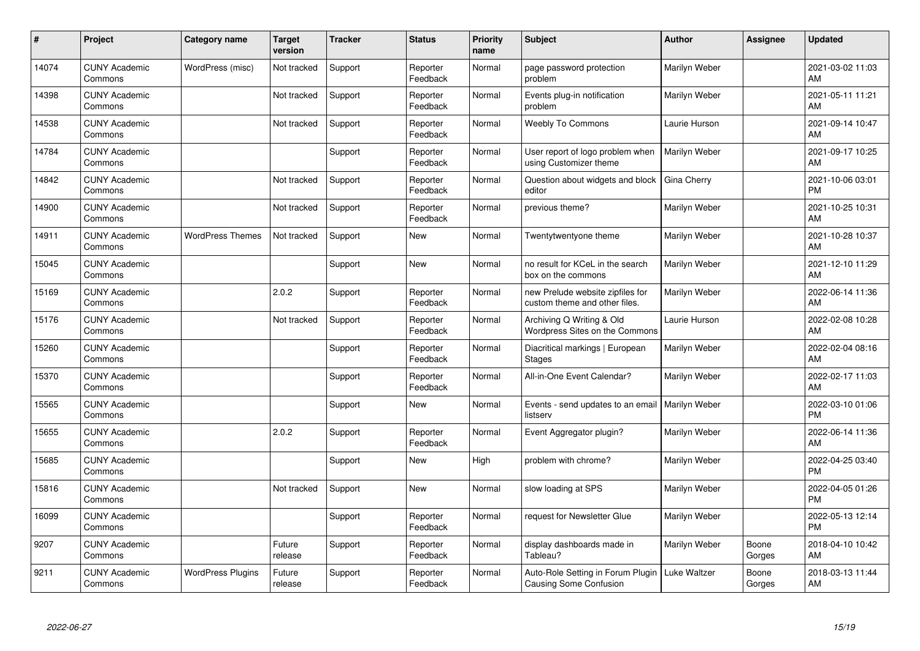| #     | Project                         | <b>Category name</b>     | <b>Target</b><br>version | <b>Tracker</b> | <b>Status</b>        | <b>Priority</b><br>name | <b>Subject</b>                                                    | Author        | <b>Assignee</b> | <b>Updated</b>                |
|-------|---------------------------------|--------------------------|--------------------------|----------------|----------------------|-------------------------|-------------------------------------------------------------------|---------------|-----------------|-------------------------------|
| 14074 | <b>CUNY Academic</b><br>Commons | WordPress (misc)         | Not tracked              | Support        | Reporter<br>Feedback | Normal                  | page password protection<br>problem                               | Marilyn Weber |                 | 2021-03-02 11:03<br>AM        |
| 14398 | <b>CUNY Academic</b><br>Commons |                          | Not tracked              | Support        | Reporter<br>Feedback | Normal                  | Events plug-in notification<br>problem                            | Marilyn Weber |                 | 2021-05-11 11:21<br>AM        |
| 14538 | <b>CUNY Academic</b><br>Commons |                          | Not tracked              | Support        | Reporter<br>Feedback | Normal                  | <b>Weebly To Commons</b>                                          | Laurie Hurson |                 | 2021-09-14 10:47<br>AM        |
| 14784 | <b>CUNY Academic</b><br>Commons |                          |                          | Support        | Reporter<br>Feedback | Normal                  | User report of logo problem when<br>using Customizer theme        | Marilyn Weber |                 | 2021-09-17 10:25<br>AM        |
| 14842 | <b>CUNY Academic</b><br>Commons |                          | Not tracked              | Support        | Reporter<br>Feedback | Normal                  | Question about widgets and block<br>editor                        | Gina Cherry   |                 | 2021-10-06 03:01<br><b>PM</b> |
| 14900 | <b>CUNY Academic</b><br>Commons |                          | Not tracked              | Support        | Reporter<br>Feedback | Normal                  | previous theme?                                                   | Marilyn Weber |                 | 2021-10-25 10:31<br>AM        |
| 14911 | <b>CUNY Academic</b><br>Commons | <b>WordPress Themes</b>  | Not tracked              | Support        | <b>New</b>           | Normal                  | Twentytwentyone theme                                             | Marilyn Weber |                 | 2021-10-28 10:37<br>AM        |
| 15045 | <b>CUNY Academic</b><br>Commons |                          |                          | Support        | <b>New</b>           | Normal                  | no result for KCeL in the search<br>box on the commons            | Marilyn Weber |                 | 2021-12-10 11:29<br>AM        |
| 15169 | <b>CUNY Academic</b><br>Commons |                          | 2.0.2                    | Support        | Reporter<br>Feedback | Normal                  | new Prelude website zipfiles for<br>custom theme and other files. | Marilyn Weber |                 | 2022-06-14 11:36<br>AM        |
| 15176 | <b>CUNY Academic</b><br>Commons |                          | Not tracked              | Support        | Reporter<br>Feedback | Normal                  | Archiving Q Writing & Old<br>Wordpress Sites on the Commons       | Laurie Hurson |                 | 2022-02-08 10:28<br>AM        |
| 15260 | <b>CUNY Academic</b><br>Commons |                          |                          | Support        | Reporter<br>Feedback | Normal                  | Diacritical markings   European<br>Stages                         | Marilyn Weber |                 | 2022-02-04 08:16<br>AM        |
| 15370 | <b>CUNY Academic</b><br>Commons |                          |                          | Support        | Reporter<br>Feedback | Normal                  | All-in-One Event Calendar?                                        | Marilyn Weber |                 | 2022-02-17 11:03<br>AM        |
| 15565 | <b>CUNY Academic</b><br>Commons |                          |                          | Support        | New                  | Normal                  | Events - send updates to an email   Marilyn Weber<br>listserv     |               |                 | 2022-03-10 01:06<br><b>PM</b> |
| 15655 | <b>CUNY Academic</b><br>Commons |                          | 2.0.2                    | Support        | Reporter<br>Feedback | Normal                  | Event Aggregator plugin?                                          | Marilyn Weber |                 | 2022-06-14 11:36<br>AM        |
| 15685 | <b>CUNY Academic</b><br>Commons |                          |                          | Support        | New                  | High                    | problem with chrome?                                              | Marilyn Weber |                 | 2022-04-25 03:40<br><b>PM</b> |
| 15816 | <b>CUNY Academic</b><br>Commons |                          | Not tracked              | Support        | <b>New</b>           | Normal                  | slow loading at SPS                                               | Marilyn Weber |                 | 2022-04-05 01:26<br><b>PM</b> |
| 16099 | <b>CUNY Academic</b><br>Commons |                          |                          | Support        | Reporter<br>Feedback | Normal                  | request for Newsletter Glue                                       | Marilyn Weber |                 | 2022-05-13 12:14<br><b>PM</b> |
| 9207  | <b>CUNY Academic</b><br>Commons |                          | Future<br>release        | Support        | Reporter<br>Feedback | Normal                  | display dashboards made in<br>Tableau?                            | Marilyn Weber | Boone<br>Gorges | 2018-04-10 10:42<br>AM        |
| 9211  | <b>CUNY Academic</b><br>Commons | <b>WordPress Plugins</b> | Future<br>release        | Support        | Reporter<br>Feedback | Normal                  | Auto-Role Setting in Forum Plugin<br>Causing Some Confusion       | Luke Waltzer  | Boone<br>Gorges | 2018-03-13 11:44<br>AM        |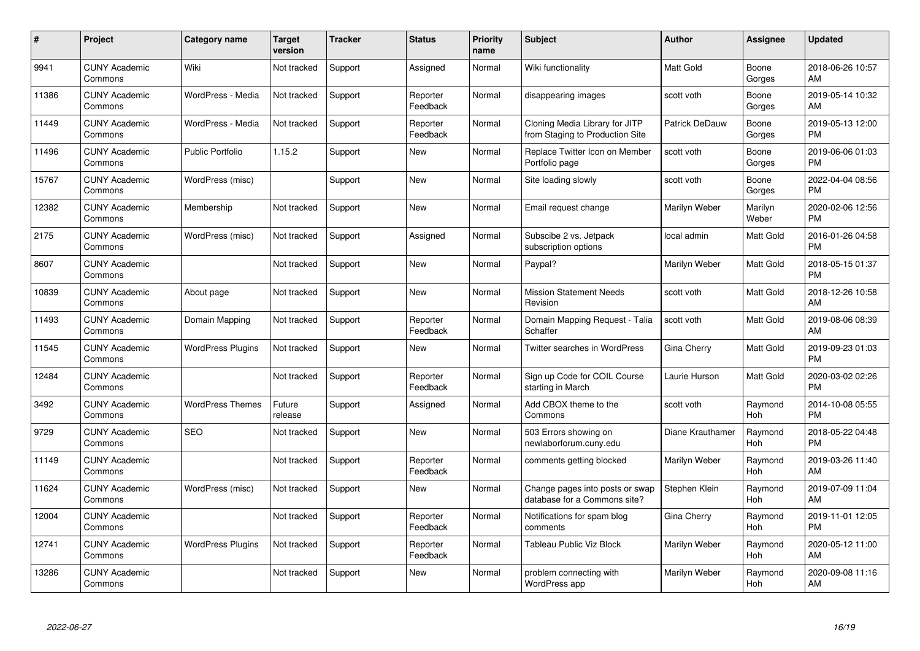| $\pmb{\#}$ | Project                         | <b>Category name</b>     | <b>Target</b><br>version | <b>Tracker</b> | <b>Status</b>        | <b>Priority</b><br>name | <b>Subject</b>                                                    | Author           | <b>Assignee</b>       | <b>Updated</b>                |
|------------|---------------------------------|--------------------------|--------------------------|----------------|----------------------|-------------------------|-------------------------------------------------------------------|------------------|-----------------------|-------------------------------|
| 9941       | <b>CUNY Academic</b><br>Commons | Wiki                     | Not tracked              | Support        | Assigned             | Normal                  | Wiki functionality                                                | <b>Matt Gold</b> | Boone<br>Gorges       | 2018-06-26 10:57<br>AM        |
| 11386      | <b>CUNY Academic</b><br>Commons | WordPress - Media        | Not tracked              | Support        | Reporter<br>Feedback | Normal                  | disappearing images                                               | scott voth       | Boone<br>Gorges       | 2019-05-14 10:32<br>AM        |
| 11449      | <b>CUNY Academic</b><br>Commons | WordPress - Media        | Not tracked              | Support        | Reporter<br>Feedback | Normal                  | Cloning Media Library for JITP<br>from Staging to Production Site | Patrick DeDauw   | Boone<br>Gorges       | 2019-05-13 12:00<br><b>PM</b> |
| 11496      | <b>CUNY Academic</b><br>Commons | <b>Public Portfolio</b>  | 1.15.2                   | Support        | <b>New</b>           | Normal                  | Replace Twitter Icon on Member<br>Portfolio page                  | scott voth       | Boone<br>Gorges       | 2019-06-06 01:03<br><b>PM</b> |
| 15767      | <b>CUNY Academic</b><br>Commons | WordPress (misc)         |                          | Support        | <b>New</b>           | Normal                  | Site loading slowly                                               | scott voth       | Boone<br>Gorges       | 2022-04-04 08:56<br><b>PM</b> |
| 12382      | <b>CUNY Academic</b><br>Commons | Membership               | Not tracked              | Support        | <b>New</b>           | Normal                  | Email request change                                              | Marilyn Weber    | Marilyn<br>Weber      | 2020-02-06 12:56<br><b>PM</b> |
| 2175       | <b>CUNY Academic</b><br>Commons | WordPress (misc)         | Not tracked              | Support        | Assigned             | Normal                  | Subscibe 2 vs. Jetpack<br>subscription options                    | local admin      | <b>Matt Gold</b>      | 2016-01-26 04:58<br><b>PM</b> |
| 8607       | <b>CUNY Academic</b><br>Commons |                          | Not tracked              | Support        | <b>New</b>           | Normal                  | Paypal?                                                           | Marilyn Weber    | Matt Gold             | 2018-05-15 01:37<br><b>PM</b> |
| 10839      | <b>CUNY Academic</b><br>Commons | About page               | Not tracked              | Support        | <b>New</b>           | Normal                  | <b>Mission Statement Needs</b><br>Revision                        | scott voth       | <b>Matt Gold</b>      | 2018-12-26 10:58<br>AM        |
| 11493      | <b>CUNY Academic</b><br>Commons | Domain Mapping           | Not tracked              | Support        | Reporter<br>Feedback | Normal                  | Domain Mapping Request - Talia<br>Schaffer                        | scott voth       | <b>Matt Gold</b>      | 2019-08-06 08:39<br>AM        |
| 11545      | <b>CUNY Academic</b><br>Commons | <b>WordPress Plugins</b> | Not tracked              | Support        | <b>New</b>           | Normal                  | Twitter searches in WordPress                                     | Gina Cherry      | <b>Matt Gold</b>      | 2019-09-23 01:03<br><b>PM</b> |
| 12484      | <b>CUNY Academic</b><br>Commons |                          | Not tracked              | Support        | Reporter<br>Feedback | Normal                  | Sign up Code for COIL Course<br>starting in March                 | Laurie Hurson    | Matt Gold             | 2020-03-02 02:26<br><b>PM</b> |
| 3492       | <b>CUNY Academic</b><br>Commons | <b>WordPress Themes</b>  | Future<br>release        | Support        | Assigned             | Normal                  | Add CBOX theme to the<br>Commons                                  | scott voth       | Raymond<br>Hoh        | 2014-10-08 05:55<br><b>PM</b> |
| 9729       | <b>CUNY Academic</b><br>Commons | <b>SEO</b>               | Not tracked              | Support        | <b>New</b>           | Normal                  | 503 Errors showing on<br>newlaborforum.cuny.edu                   | Diane Krauthamer | Raymond<br>Hoh        | 2018-05-22 04:48<br><b>PM</b> |
| 11149      | <b>CUNY Academic</b><br>Commons |                          | Not tracked              | Support        | Reporter<br>Feedback | Normal                  | comments getting blocked                                          | Marilyn Weber    | Raymond<br>Hoh        | 2019-03-26 11:40<br>AM        |
| 11624      | <b>CUNY Academic</b><br>Commons | WordPress (misc)         | Not tracked              | Support        | <b>New</b>           | Normal                  | Change pages into posts or swap<br>database for a Commons site?   | Stephen Klein    | Raymond<br>Hoh        | 2019-07-09 11:04<br>AM        |
| 12004      | <b>CUNY Academic</b><br>Commons |                          | Not tracked              | Support        | Reporter<br>Feedback | Normal                  | Notifications for spam blog<br>comments                           | Gina Cherry      | Raymond<br><b>Hoh</b> | 2019-11-01 12:05<br><b>PM</b> |
| 12741      | <b>CUNY Academic</b><br>Commons | <b>WordPress Plugins</b> | Not tracked              | Support        | Reporter<br>Feedback | Normal                  | <b>Tableau Public Viz Block</b>                                   | Marilyn Weber    | Raymond<br>Hoh        | 2020-05-12 11:00<br>AM        |
| 13286      | <b>CUNY Academic</b><br>Commons |                          | Not tracked              | Support        | <b>New</b>           | Normal                  | problem connecting with<br>WordPress app                          | Marilyn Weber    | Raymond<br>Hoh        | 2020-09-08 11:16<br>AM        |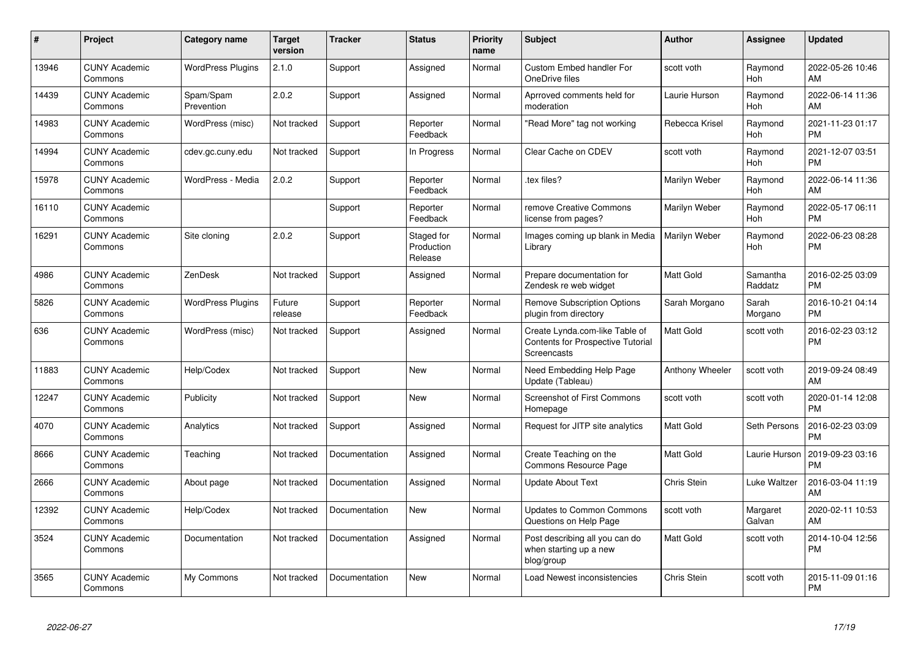| $\#$  | Project                         | <b>Category name</b>     | <b>Target</b><br>version | Tracker       | <b>Status</b>                       | <b>Priority</b><br>name | <b>Subject</b>                                                                            | Author             | Assignee              | <b>Updated</b>                |
|-------|---------------------------------|--------------------------|--------------------------|---------------|-------------------------------------|-------------------------|-------------------------------------------------------------------------------------------|--------------------|-----------------------|-------------------------------|
| 13946 | <b>CUNY Academic</b><br>Commons | <b>WordPress Plugins</b> | 2.1.0                    | Support       | Assigned                            | Normal                  | <b>Custom Embed handler For</b><br>OneDrive files                                         | scott voth         | Raymond<br>Hoh        | 2022-05-26 10:46<br>AM        |
| 14439 | <b>CUNY Academic</b><br>Commons | Spam/Spam<br>Prevention  | 2.0.2                    | Support       | Assigned                            | Normal                  | Aprroved comments held for<br>moderation                                                  | Laurie Hurson      | Raymond<br>Hoh        | 2022-06-14 11:36<br>AM        |
| 14983 | <b>CUNY Academic</b><br>Commons | WordPress (misc)         | Not tracked              | Support       | Reporter<br>Feedback                | Normal                  | 'Read More" tag not working                                                               | Rebecca Krisel     | Raymond<br>Hoh        | 2021-11-23 01:17<br><b>PM</b> |
| 14994 | <b>CUNY Academic</b><br>Commons | cdev.gc.cuny.edu         | Not tracked              | Support       | In Progress                         | Normal                  | Clear Cache on CDEV                                                                       | scott voth         | Raymond<br><b>Hoh</b> | 2021-12-07 03:51<br><b>PM</b> |
| 15978 | <b>CUNY Academic</b><br>Commons | WordPress - Media        | 2.0.2                    | Support       | Reporter<br>Feedback                | Normal                  | tex files?                                                                                | Marilyn Weber      | Raymond<br>Hoh        | 2022-06-14 11:36<br>AM        |
| 16110 | <b>CUNY Academic</b><br>Commons |                          |                          | Support       | Reporter<br>Feedback                | Normal                  | remove Creative Commons<br>license from pages?                                            | Marilyn Weber      | Raymond<br>Hoh        | 2022-05-17 06:11<br><b>PM</b> |
| 16291 | <b>CUNY Academic</b><br>Commons | Site cloning             | 2.0.2                    | Support       | Staged for<br>Production<br>Release | Normal                  | Images coming up blank in Media<br>Library                                                | Marilyn Weber      | Raymond<br><b>Hoh</b> | 2022-06-23 08:28<br><b>PM</b> |
| 4986  | <b>CUNY Academic</b><br>Commons | ZenDesk                  | Not tracked              | Support       | Assigned                            | Normal                  | Prepare documentation for<br>Zendesk re web widget                                        | Matt Gold          | Samantha<br>Raddatz   | 2016-02-25 03:09<br><b>PM</b> |
| 5826  | <b>CUNY Academic</b><br>Commons | <b>WordPress Plugins</b> | Future<br>release        | Support       | Reporter<br>Feedback                | Normal                  | Remove Subscription Options<br>plugin from directory                                      | Sarah Morgano      | Sarah<br>Morgano      | 2016-10-21 04:14<br><b>PM</b> |
| 636   | <b>CUNY Academic</b><br>Commons | WordPress (misc)         | Not tracked              | Support       | Assigned                            | Normal                  | Create Lynda.com-like Table of<br><b>Contents for Prospective Tutorial</b><br>Screencasts | Matt Gold          | scott voth            | 2016-02-23 03:12<br><b>PM</b> |
| 11883 | <b>CUNY Academic</b><br>Commons | Help/Codex               | Not tracked              | Support       | <b>New</b>                          | Normal                  | Need Embedding Help Page<br>Update (Tableau)                                              | Anthony Wheeler    | scott voth            | 2019-09-24 08:49<br>AM        |
| 12247 | <b>CUNY Academic</b><br>Commons | Publicity                | Not tracked              | Support       | <b>New</b>                          | Normal                  | <b>Screenshot of First Commons</b><br>Homepage                                            | scott voth         | scott voth            | 2020-01-14 12:08<br><b>PM</b> |
| 4070  | <b>CUNY Academic</b><br>Commons | Analytics                | Not tracked              | Support       | Assigned                            | Normal                  | Request for JITP site analytics                                                           | Matt Gold          | Seth Persons          | 2016-02-23 03:09<br><b>PM</b> |
| 8666  | <b>CUNY Academic</b><br>Commons | Teaching                 | Not tracked              | Documentation | Assigned                            | Normal                  | Create Teaching on the<br>Commons Resource Page                                           | Matt Gold          | Laurie Hurson         | 2019-09-23 03:16<br><b>PM</b> |
| 2666  | <b>CUNY Academic</b><br>Commons | About page               | Not tracked              | Documentation | Assigned                            | Normal                  | <b>Update About Text</b>                                                                  | Chris Stein        | Luke Waltzer          | 2016-03-04 11:19<br>AM        |
| 12392 | <b>CUNY Academic</b><br>Commons | Help/Codex               | Not tracked              | Documentation | <b>New</b>                          | Normal                  | <b>Updates to Common Commons</b><br>Questions on Help Page                                | scott voth         | Margaret<br>Galvan    | 2020-02-11 10:53<br>AM        |
| 3524  | <b>CUNY Academic</b><br>Commons | Documentation            | Not tracked              | Documentation | Assigned                            | Normal                  | Post describing all you can do<br>when starting up a new<br>blog/group                    | Matt Gold          | scott voth            | 2014-10-04 12:56<br><b>PM</b> |
| 3565  | <b>CUNY Academic</b><br>Commons | My Commons               | Not tracked              | Documentation | New                                 | Normal                  | Load Newest inconsistencies                                                               | <b>Chris Stein</b> | scott voth            | 2015-11-09 01:16<br><b>PM</b> |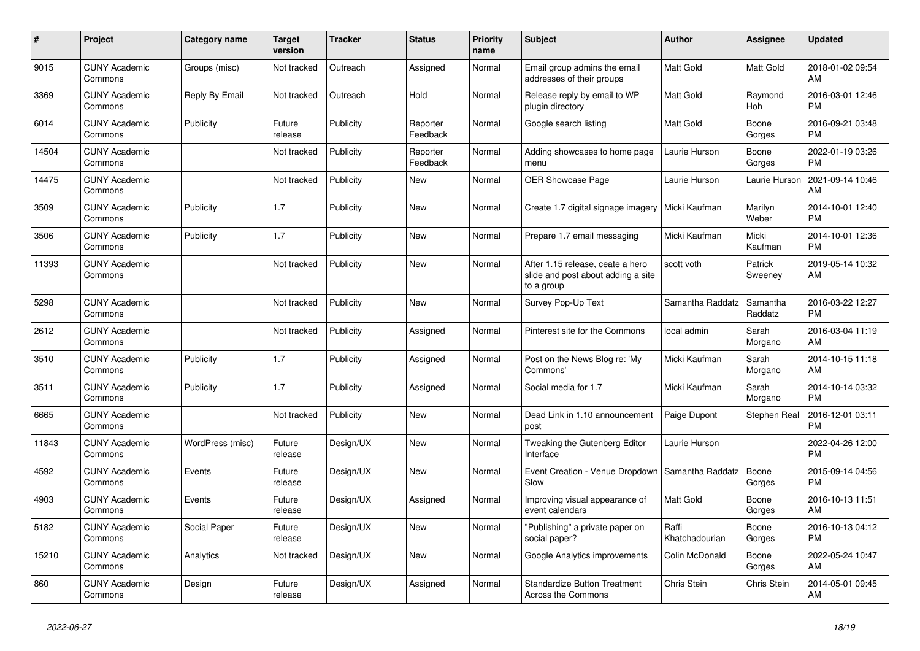| #     | Project                         | <b>Category name</b> | <b>Target</b><br>version | <b>Tracker</b> | <b>Status</b>        | <b>Priority</b><br>name | <b>Subject</b>                                                                       | <b>Author</b>           | Assignee            | <b>Updated</b>                |
|-------|---------------------------------|----------------------|--------------------------|----------------|----------------------|-------------------------|--------------------------------------------------------------------------------------|-------------------------|---------------------|-------------------------------|
| 9015  | <b>CUNY Academic</b><br>Commons | Groups (misc)        | Not tracked              | Outreach       | Assigned             | Normal                  | Email group admins the email<br>addresses of their groups                            | <b>Matt Gold</b>        | <b>Matt Gold</b>    | 2018-01-02 09:54<br>AM        |
| 3369  | <b>CUNY Academic</b><br>Commons | Reply By Email       | Not tracked              | Outreach       | Hold                 | Normal                  | Release reply by email to WP<br>plugin directory                                     | Matt Gold               | Raymond<br>Hoh      | 2016-03-01 12:46<br><b>PM</b> |
| 6014  | <b>CUNY Academic</b><br>Commons | Publicity            | Future<br>release        | Publicity      | Reporter<br>Feedback | Normal                  | Google search listing                                                                | <b>Matt Gold</b>        | Boone<br>Gorges     | 2016-09-21 03:48<br><b>PM</b> |
| 14504 | <b>CUNY Academic</b><br>Commons |                      | Not tracked              | Publicity      | Reporter<br>Feedback | Normal                  | Adding showcases to home page<br>menu                                                | Laurie Hurson           | Boone<br>Gorges     | 2022-01-19 03:26<br><b>PM</b> |
| 14475 | <b>CUNY Academic</b><br>Commons |                      | Not tracked              | Publicity      | New                  | Normal                  | OER Showcase Page                                                                    | Laurie Hurson           | Laurie Hurson       | 2021-09-14 10:46<br>AM        |
| 3509  | <b>CUNY Academic</b><br>Commons | Publicity            | 1.7                      | Publicity      | <b>New</b>           | Normal                  | Create 1.7 digital signage imagery   Micki Kaufman                                   |                         | Marilyn<br>Weber    | 2014-10-01 12:40<br><b>PM</b> |
| 3506  | <b>CUNY Academic</b><br>Commons | Publicity            | 1.7                      | Publicity      | <b>New</b>           | Normal                  | Prepare 1.7 email messaging                                                          | Micki Kaufman           | Micki<br>Kaufman    | 2014-10-01 12:36<br><b>PM</b> |
| 11393 | <b>CUNY Academic</b><br>Commons |                      | Not tracked              | Publicity      | <b>New</b>           | Normal                  | After 1.15 release, ceate a hero<br>slide and post about adding a site<br>to a group | scott voth              | Patrick<br>Sweeney  | 2019-05-14 10:32<br>AM        |
| 5298  | <b>CUNY Academic</b><br>Commons |                      | Not tracked              | Publicity      | <b>New</b>           | Normal                  | Survey Pop-Up Text                                                                   | Samantha Raddatz        | Samantha<br>Raddatz | 2016-03-22 12:27<br><b>PM</b> |
| 2612  | <b>CUNY Academic</b><br>Commons |                      | Not tracked              | Publicity      | Assigned             | Normal                  | Pinterest site for the Commons                                                       | local admin             | Sarah<br>Morgano    | 2016-03-04 11:19<br>AM        |
| 3510  | <b>CUNY Academic</b><br>Commons | Publicity            | 1.7                      | Publicity      | Assigned             | Normal                  | Post on the News Blog re: 'My<br>Commons'                                            | Micki Kaufman           | Sarah<br>Morgano    | 2014-10-15 11:18<br>AM        |
| 3511  | <b>CUNY Academic</b><br>Commons | Publicity            | 1.7                      | Publicity      | Assigned             | Normal                  | Social media for 1.7                                                                 | Micki Kaufman           | Sarah<br>Morgano    | 2014-10-14 03:32<br><b>PM</b> |
| 6665  | <b>CUNY Academic</b><br>Commons |                      | Not tracked              | Publicity      | New                  | Normal                  | Dead Link in 1.10 announcement<br>post                                               | Paige Dupont            | Stephen Real        | 2016-12-01 03:11<br><b>PM</b> |
| 11843 | <b>CUNY Academic</b><br>Commons | WordPress (misc)     | Future<br>release        | Design/UX      | <b>New</b>           | Normal                  | Tweaking the Gutenberg Editor<br>Interface                                           | Laurie Hurson           |                     | 2022-04-26 12:00<br><b>PM</b> |
| 4592  | <b>CUNY Academic</b><br>Commons | Events               | Future<br>release        | Design/UX      | <b>New</b>           | Normal                  | Event Creation - Venue Dropdown<br>Slow                                              | Samantha Raddatz        | Boone<br>Gorges     | 2015-09-14 04:56<br><b>PM</b> |
| 4903  | <b>CUNY Academic</b><br>Commons | Events               | Future<br>release        | Design/UX      | Assigned             | Normal                  | Improving visual appearance of<br>event calendars                                    | Matt Gold               | Boone<br>Gorges     | 2016-10-13 11:51<br>AM        |
| 5182  | <b>CUNY Academic</b><br>Commons | Social Paper         | Future<br>release        | Design/UX      | <b>New</b>           | Normal                  | "Publishing" a private paper on<br>social paper?                                     | Raffi<br>Khatchadourian | Boone<br>Gorges     | 2016-10-13 04:12<br><b>PM</b> |
| 15210 | <b>CUNY Academic</b><br>Commons | Analytics            | Not tracked              | Design/UX      | <b>New</b>           | Normal                  | Google Analytics improvements                                                        | Colin McDonald          | Boone<br>Gorges     | 2022-05-24 10:47<br>AM        |
| 860   | <b>CUNY Academic</b><br>Commons | Design               | Future<br>release        | Design/UX      | Assigned             | Normal                  | <b>Standardize Button Treatment</b><br>Across the Commons                            | <b>Chris Stein</b>      | Chris Stein         | 2014-05-01 09:45<br>AM        |